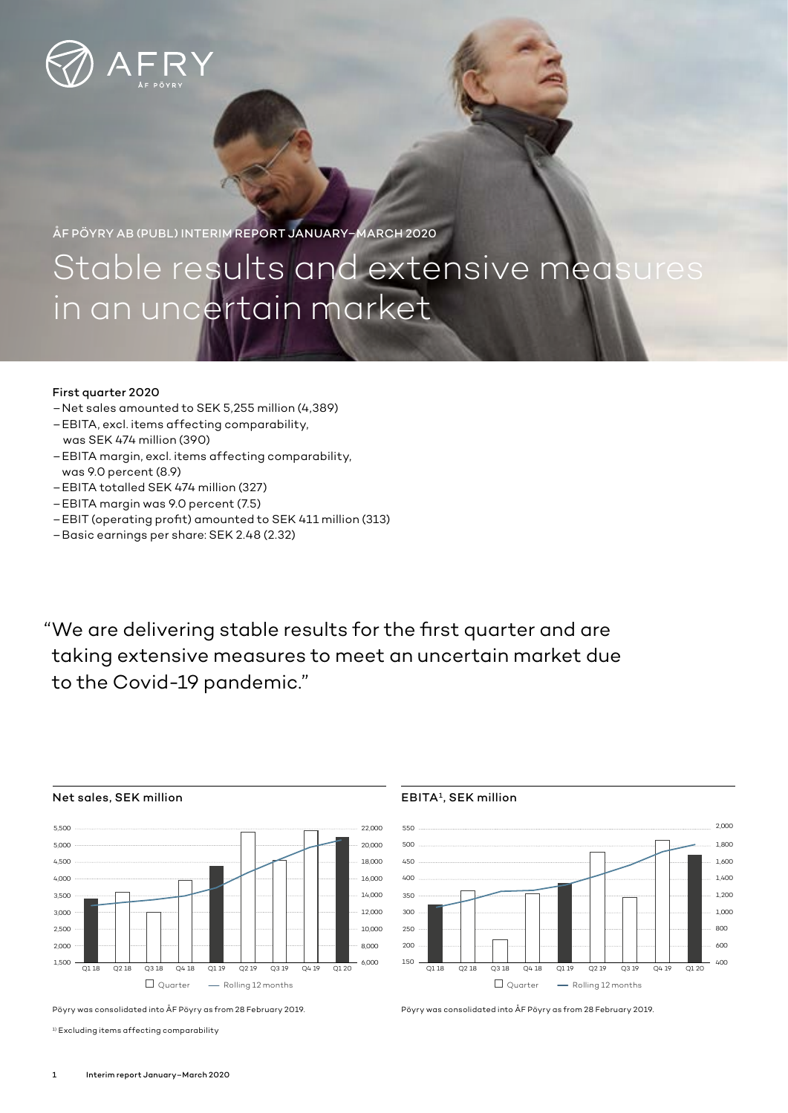

ÅF PÖYRY AB (PUBL) INTERIM REPORT JANUARY–MARCH 2020

# Stable results and extensive measures in an uncertain market

## First quarter 2020

- Net sales amounted to SEK 5,255 million (4,389)
- EBITA, excl. items affecting comparability, was SEK 474 million (390)
- EBITA margin, excl. items affecting comparability, was 9.0 percent (8.9)
- EBITA totalled SEK 474 million (327)
- EBITA margin was 9.0 percent (7.5)
- EBIT (operating profit) amounted to SEK 411 million (313)
- Basic earnings per share: SEK 2.48 (2.32)

"We are delivering stable results for the first quarter and are taking extensive measures to meet an uncertain market due to the Covid-19 pandemic."



Pöyry was consolidated into ÅF Pöyry as from 28 February 2019.

 $^{\rm 1)}$  Excluding items affecting comparability

### EBITA1, SEK million



Pöyry was consolidated into ÅF Pöyry as from 28 February 2019.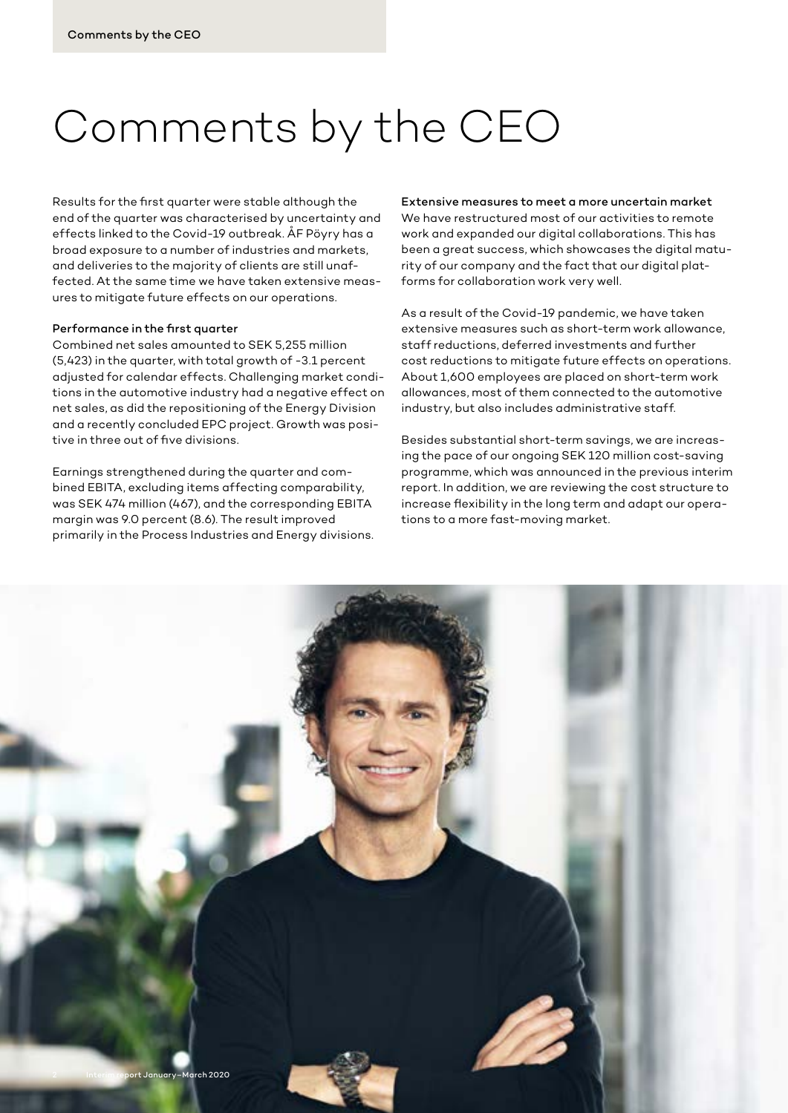# Comments by the CEO

Results for the first quarter were stable although the end of the quarter was characterised by uncertainty and effects linked to the Covid-19 outbreak. ÅF Pöyry has a broad exposure to a number of industries and markets, and deliveries to the majority of clients are still unaffected. At the same time we have taken extensive measures to mitigate future effects on our operations.

#### Performance in the first quarter

Combined net sales amounted to SEK 5,255 million (5,423) in the quarter, with total growth of -3.1 percent adjusted for calendar effects. Challenging market conditions in the automotive industry had a negative effect on net sales, as did the repositioning of the Energy Division and a recently concluded EPC project. Growth was positive in three out of five divisions.

Earnings strengthened during the quarter and combined EBITA, excluding items affecting comparability, was SEK 474 million (467), and the corresponding EBITA margin was 9.0 percent (8.6). The result improved primarily in the Process Industries and Energy divisions.

#### Extensive measures to meet a more uncertain market

We have restructured most of our activities to remote work and expanded our digital collaborations. This has been a great success, which showcases the digital maturity of our company and the fact that our digital platforms for collaboration work very well.

As a result of the Covid-19 pandemic, we have taken extensive measures such as short-term work allowance, staff reductions, deferred investments and further cost reductions to mitigate future effects on operations. About 1,600 employees are placed on short-term work allowances, most of them connected to the automotive industry, but also includes administrative staff.

Besides substantial short-term savings, we are increasing the pace of our ongoing SEK 120 million cost-saving programme, which was announced in the previous interim report. In addition, we are reviewing the cost structure to increase flexibility in the long term and adapt our operations to a more fast-moving market.

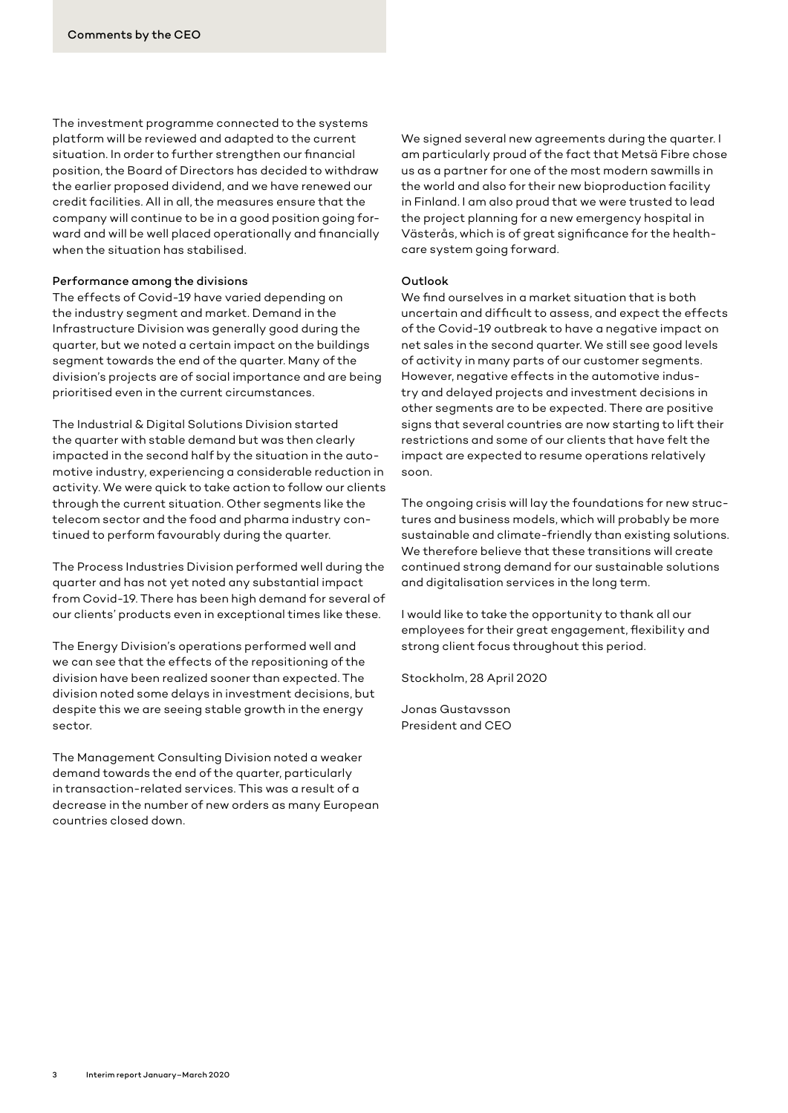The investment programme connected to the systems platform will be reviewed and adapted to the current situation. In order to further strengthen our financial position, the Board of Directors has decided to withdraw the earlier proposed dividend, and we have renewed our credit facilities. All in all, the measures ensure that the company will continue to be in a good position going forward and will be well placed operationally and financially when the situation has stabilised.

#### Performance among the divisions

The effects of Covid-19 have varied depending on the industry segment and market. Demand in the Infrastructure Division was generally good during the quarter, but we noted a certain impact on the buildings segment towards the end of the quarter. Many of the division's projects are of social importance and are being prioritised even in the current circumstances.

The Industrial & Digital Solutions Division started the quarter with stable demand but was then clearly impacted in the second half by the situation in the automotive industry, experiencing a considerable reduction in activity. We were quick to take action to follow our clients through the current situation. Other segments like the telecom sector and the food and pharma industry continued to perform favourably during the quarter.

The Process Industries Division performed well during the quarter and has not yet noted any substantial impact from Covid-19. There has been high demand for several of our clients' products even in exceptional times like these.

The Energy Division's operations performed well and we can see that the effects of the repositioning of the division have been realized sooner than expected. The division noted some delays in investment decisions, but despite this we are seeing stable growth in the energy sector.

The Management Consulting Division noted a weaker demand towards the end of the quarter, particularly in transaction-related services. This was a result of a decrease in the number of new orders as many European countries closed down.

We signed several new agreements during the quarter. I am particularly proud of the fact that Metsä Fibre chose us as a partner for one of the most modern sawmills in the world and also for their new bioproduction facility in Finland. I am also proud that we were trusted to lead the project planning for a new emergency hospital in Västerås, which is of great significance for the healthcare system going forward.

#### Outlook

We find ourselves in a market situation that is both uncertain and difficult to assess, and expect the effects of the Covid-19 outbreak to have a negative impact on net sales in the second quarter. We still see good levels of activity in many parts of our customer segments. However, negative effects in the automotive industry and delayed projects and investment decisions in other segments are to be expected. There are positive signs that several countries are now starting to lift their restrictions and some of our clients that have felt the impact are expected to resume operations relatively soon.

The ongoing crisis will lay the foundations for new structures and business models, which will probably be more sustainable and climate-friendly than existing solutions. We therefore believe that these transitions will create continued strong demand for our sustainable solutions and digitalisation services in the long term.

I would like to take the opportunity to thank all our employees for their great engagement, flexibility and strong client focus throughout this period.

Stockholm, 28 April 2020

Jonas Gustavsson President and CEO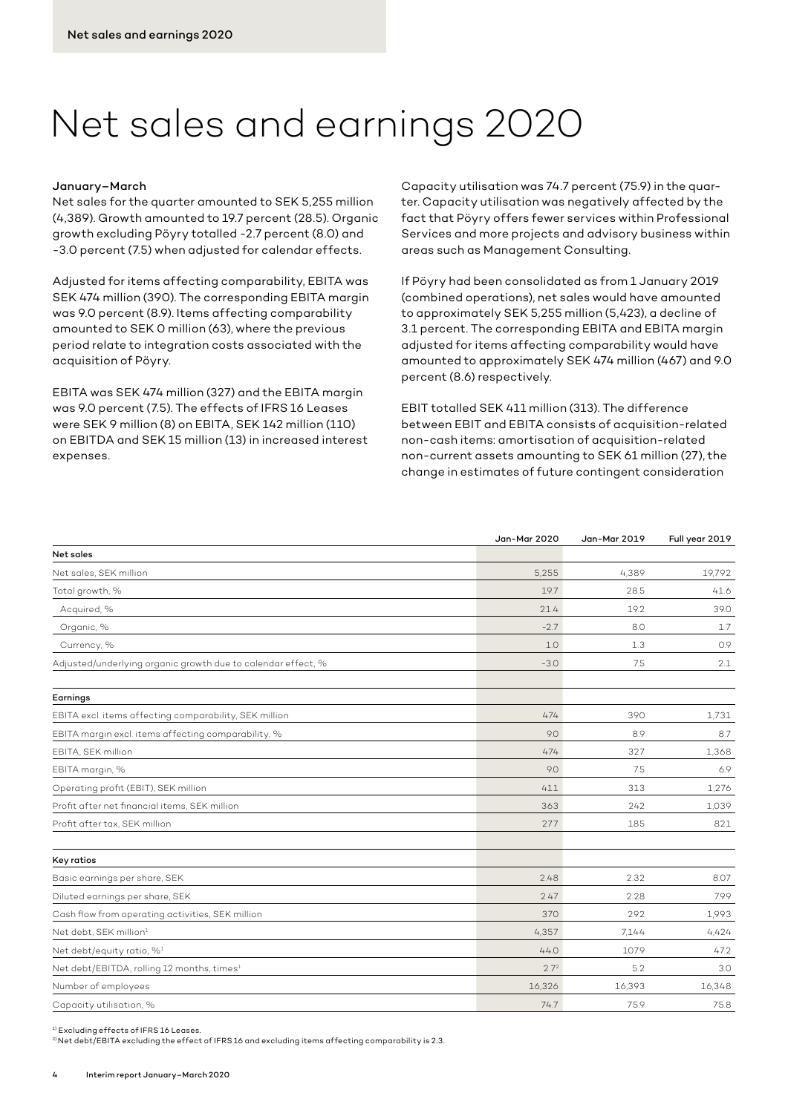# Net sales and earnings 2020

#### January–March

Net sales for the quarter amounted to SEK 5,255 million (4,389). Growth amounted to 19.7 percent (28.5). Organic growth excluding Pöyry totalled -2.7 percent (8.0) and -3.0 percent (7.5) when adjusted for calendar effects.

Adjusted for items affecting comparability, EBITA was SEK 474 million (390). The corresponding EBITA margin was 9.0 percent (8.9). Items affecting comparability amounted to SEK 0 million (63), where the previous period relate to integration costs associated with the acquisition of Pöyry.

EBITA was SEK 474 million (327) and the EBITA margin was 9.0 percent (7.5). The effects of IFRS 16 Leases were SEK 9 million (8) on EBITA, SEK 142 million (110) on EBITDA and SEK 15 million (13) in increased interest expenses.

Capacity utilisation was 74.7 percent (75.9) in the quarter. Capacity utilisation was negatively affected by the fact that Pöyry offers fewer services within Professional Services and more projects and advisory business within areas such as Management Consulting.

If Pöyry had been consolidated as from 1 January 2019 (combined operations), net sales would have amounted to approximately SEK 5,255 million (5,423), a decline of 3.1 percent. The corresponding EBITA and EBITA margin adjusted for items affecting comparability would have amounted to approximately SEK 474 million (467) and 9.0 percent (8.6) respectively.

EBIT totalled SEK 411 million (313). The difference between EBIT and EBITA consists of acquisition-related non-cash items: amortisation of acquisition-related non-current assets amounting to SEK 61 million (27), the change in estimates of future contingent consideration

|                                                              | Jan-Mar 2020     | Jan-Mar 2019 | Full year 2019 |
|--------------------------------------------------------------|------------------|--------------|----------------|
| Net sales                                                    |                  |              |                |
| Net sales, SEK million                                       | 5.255            | 4,389        | 19.792         |
| Total growth, %                                              | 19.7             | 28.5         | 41.6           |
| Acquired, %                                                  | 21.4             | 19.2         | 39.0           |
| Organic, %                                                   | $-2.7$           | 8.0          | 1.7            |
| Currency, %                                                  | 1.0              | 1.3          | 0.9            |
| Adjusted/underlying organic growth due to calendar effect, % | $-3.0$           | 7.5          | 2.1            |
| Earnings                                                     |                  |              |                |
| EBITA excl. items affecting comparability, SEK million       | 474              | 390          | 1.731          |
| EBITA margin excl. items affecting comparability, %          | 9.0              | 8.9          | 8.7            |
| EBITA, SEK million                                           | 474              | 327          | 1,368          |
| EBITA margin, %                                              | 9.0              | 7.5          | 6.9            |
| Operating profit (EBIT), SEK million                         | 411              | 313          | 1,276          |
| Profit after net financial items, SEK million                | 363              | 242          | 1,039          |
| Profit after tax, SEK million                                | 277              | 185          | 821            |
| Key ratios                                                   |                  |              |                |
| Basic earnings per share, SEK                                | 2.48             | 2.32         | 8.07           |
| Diluted earnings per share, SEK                              | 2.47             | 2.28         | 7.99           |
| Cash flow from operating activities, SEK million             | 370              | 292          | 1,993          |
| Net debt, SEK million <sup>1</sup>                           | 4.357            | 7.144        | 4,424          |
| Net debt/equity ratio, % <sup>1</sup>                        | 44.0             | 107.9        | 47.2           |
| Net debt/EBITDA, rolling 12 months, times <sup>1</sup>       | 2.7 <sup>2</sup> | 5.2          | 3.0            |
| Number of employees                                          | 16,326           | 16,393       | 16,348         |
| Capacity utilisation, %                                      | 74.7             | 75.9         | 75.8           |
|                                                              |                  |              |                |

1) Excluding effects of IFRS 16 Leases.

 $^{2}$ Net debt/EBITA excluding the effect of IFRS 16 and excluding items affecting comparability is 2.3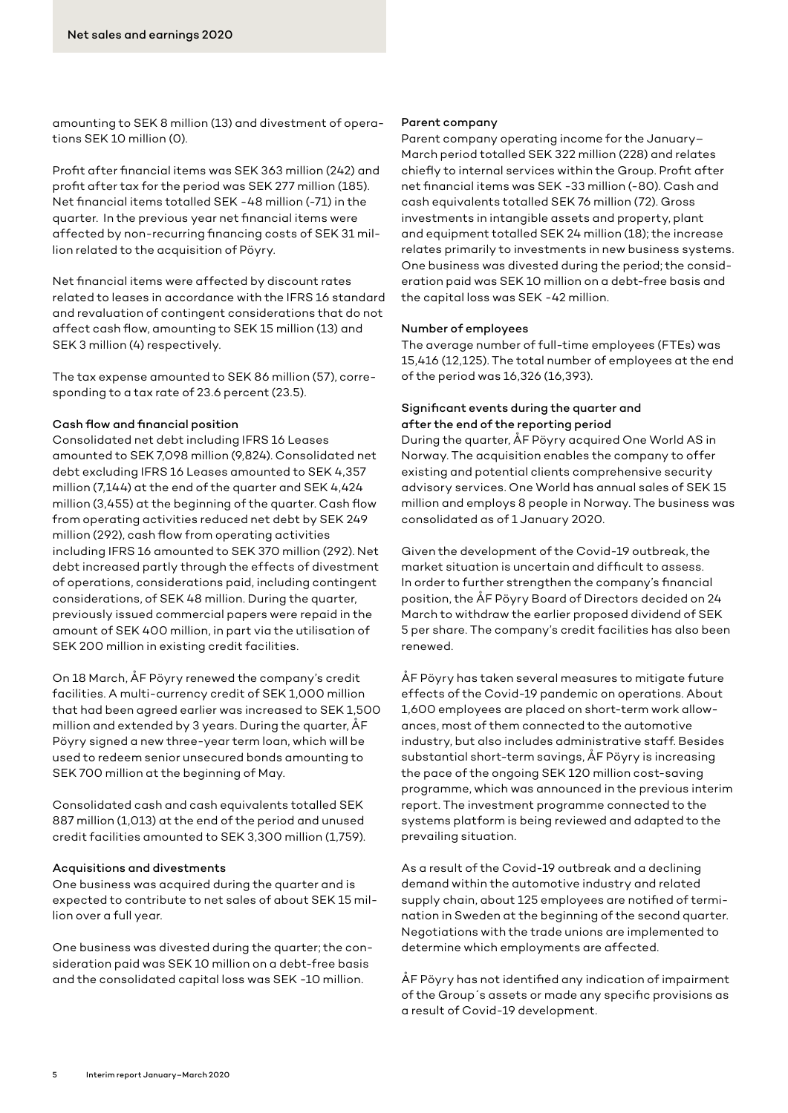amounting to SEK 8 million (13) and divestment of operations SEK 10 million (0).

Profit after financial items was SEK 363 million (242) and profit after tax for the period was SEK 277 million (185). Net financial items totalled SEK -48 million (-71) in the quarter. In the previous year net financial items were affected by non-recurring financing costs of SEK 31 million related to the acquisition of Pöyry.

Net financial items were affected by discount rates related to leases in accordance with the IFRS 16 standard and revaluation of contingent considerations that do not affect cash flow, amounting to SEK 15 million (13) and SEK 3 million (4) respectively.

The tax expense amounted to SEK 86 million (57), corresponding to a tax rate of 23.6 percent (23.5).

## Cash flow and financial position

Consolidated net debt including IFRS 16 Leases amounted to SEK 7,098 million (9,824). Consolidated net debt excluding IFRS 16 Leases amounted to SEK 4,357 million (7,144) at the end of the quarter and SEK 4,424 million (3,455) at the beginning of the quarter. Cash flow from operating activities reduced net debt by SEK 249 million (292), cash flow from operating activities including IFRS 16 amounted to SEK 370 million (292). Net debt increased partly through the effects of divestment of operations, considerations paid, including contingent considerations, of SEK 48 million. During the quarter, previously issued commercial papers were repaid in the amount of SEK 400 million, in part via the utilisation of SEK 200 million in existing credit facilities.

On 18 March, ÅF Pöyry renewed the company's credit facilities. A multi-currency credit of SEK 1,000 million that had been agreed earlier was increased to SEK 1,500 million and extended by 3 years. During the quarter, ÅF Pöyry signed a new three-year term loan, which will be used to redeem senior unsecured bonds amounting to SEK 700 million at the beginning of May.

Consolidated cash and cash equivalents totalled SEK 887 million (1,013) at the end of the period and unused credit facilities amounted to SEK 3,300 million (1,759).

#### Acquisitions and divestments

One business was acquired during the quarter and is expected to contribute to net sales of about SEK 15 million over a full year.

One business was divested during the quarter; the consideration paid was SEK 10 million on a debt-free basis and the consolidated capital loss was SEK -10 million.

#### Parent company

Parent company operating income for the January– March period totalled SEK 322 million (228) and relates chiefly to internal services within the Group. Profit after net financial items was SEK -33 million (-80). Cash and cash equivalents totalled SEK 76 million (72). Gross investments in intangible assets and property, plant and equipment totalled SEK 24 million (18); the increase relates primarily to investments in new business systems. One business was divested during the period; the consideration paid was SEK 10 million on a debt-free basis and the capital loss was SEK -42 million.

#### Number of employees

The average number of full-time employees (FTEs) was 15,416 (12,125). The total number of employees at the end of the period was 16,326 (16,393).

# Significant events during the quarter and after the end of the reporting period

During the quarter, ÅF Pöyry acquired One World AS in Norway. The acquisition enables the company to offer existing and potential clients comprehensive security advisory services. One World has annual sales of SEK 15 million and employs 8 people in Norway. The business was consolidated as of 1 January 2020.

Given the development of the Covid-19 outbreak, the market situation is uncertain and difficult to assess. In order to further strengthen the company's financial position, the ÅF Pöyry Board of Directors decided on 24 March to withdraw the earlier proposed dividend of SEK 5 per share. The company's credit facilities has also been renewed.

ÅF Pöyry has taken several measures to mitigate future effects of the Covid-19 pandemic on operations. About 1,600 employees are placed on short-term work allowances, most of them connected to the automotive industry, but also includes administrative staff. Besides substantial short-term savings, ÅF Pöyry is increasing the pace of the ongoing SEK 120 million cost-saving programme, which was announced in the previous interim report. The investment programme connected to the systems platform is being reviewed and adapted to the prevailing situation.

As a result of the Covid-19 outbreak and a declining demand within the automotive industry and related supply chain, about 125 employees are notified of termination in Sweden at the beginning of the second quarter. Negotiations with the trade unions are implemented to determine which employments are affected.

ÅF Pöyry has not identified any indication of impairment of the Group´s assets or made any specific provisions as a result of Covid-19 development.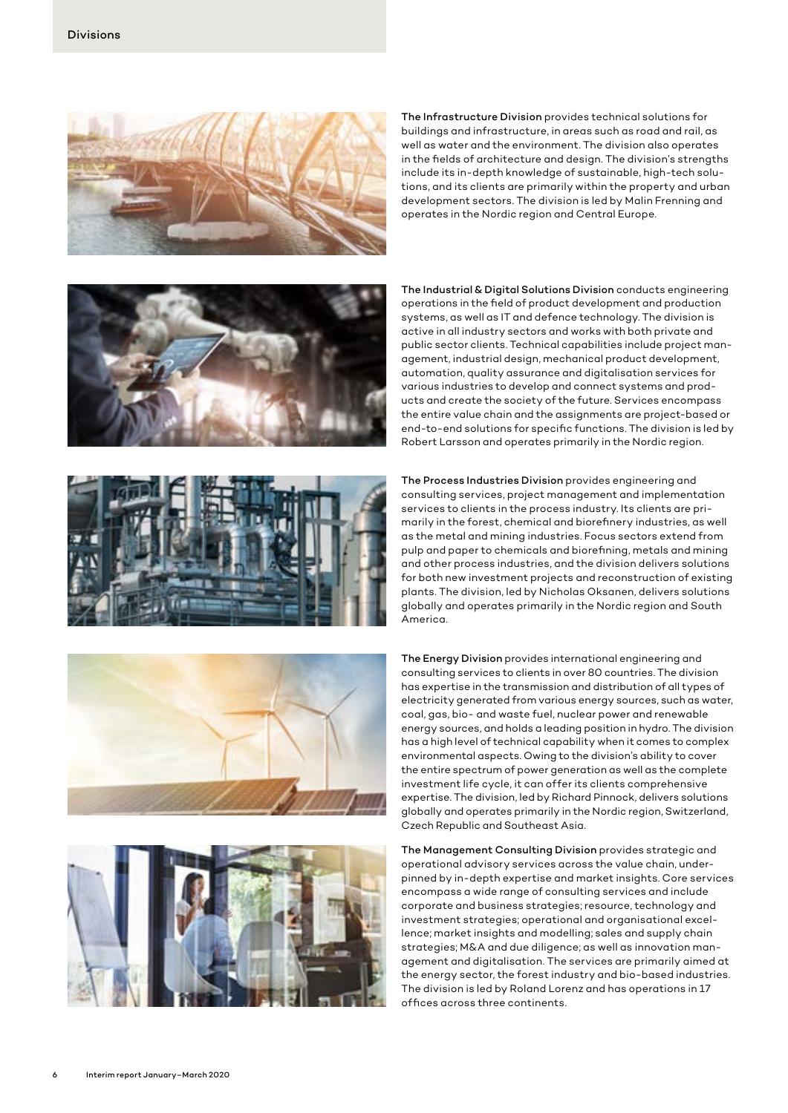

The Infrastructure Division provides technical solutions for buildings and infrastructure, in areas such as road and rail, as well as water and the environment. The division also operates in the fields of architecture and design. The division's strengths include its in-depth knowledge of sustainable, high-tech solutions, and its clients are primarily within the property and urban development sectors. The division is led by Malin Frenning and operates in the Nordic region and Central Europe.









The Industrial & Digital Solutions Division conducts engineering operations in the field of product development and production systems, as well as IT and defence technology. The division is active in all industry sectors and works with both private and public sector clients. Technical capabilities include project management, industrial design, mechanical product development, automation, quality assurance and digitalisation services for various industries to develop and connect systems and products and create the society of the future. Services encompass the entire value chain and the assignments are project-based or end-to-end solutions for specific functions. The division is led by Robert Larsson and operates primarily in the Nordic region.

The Process Industries Division provides engineering and consulting services, project management and implementation services to clients in the process industry. Its clients are primarily in the forest, chemical and biorefinery industries, as well as the metal and mining industries. Focus sectors extend from pulp and paper to chemicals and biorefining, metals and mining and other process industries, and the division delivers solutions for both new investment projects and reconstruction of existing plants. The division, led by Nicholas Oksanen, delivers solutions globally and operates primarily in the Nordic region and South America.

The Energy Division provides international engineering and consulting services to clients in over 80 countries. The division has expertise in the transmission and distribution of all types of electricity generated from various energy sources, such as water, coal, gas, bio- and waste fuel, nuclear power and renewable energy sources, and holds a leading position in hydro. The division has a high level of technical capability when it comes to complex environmental aspects. Owing to the division's ability to cover the entire spectrum of power generation as well as the complete investment life cycle, it can offer its clients comprehensive expertise. The division, led by Richard Pinnock, delivers solutions globally and operates primarily in the Nordic region, Switzerland, Czech Republic and Southeast Asia.

The Management Consulting Division provides strategic and operational advisory services across the value chain, underpinned by in-depth expertise and market insights. Core services encompass a wide range of consulting services and include corporate and business strategies; resource, technology and investment strategies; operational and organisational excellence; market insights and modelling; sales and supply chain strategies; M&A and due diligence; as well as innovation management and digitalisation. The services are primarily aimed at the energy sector, the forest industry and bio-based industries. The division is led by Roland Lorenz and has operations in 17 offices across three continents.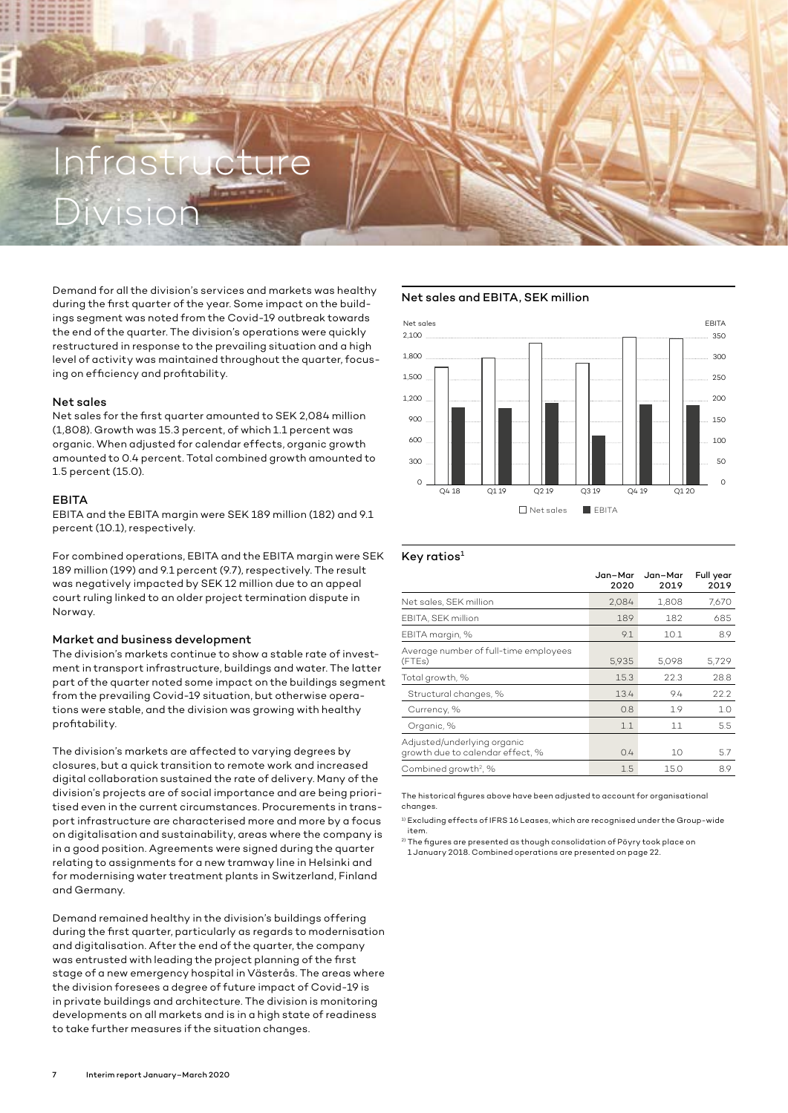# Infrastructure Division

Demand for all the division's services and markets was healthy during the first quarter of the year. Some impact on the buildings segment was noted from the Covid-19 outbreak towards the end of the quarter. The division's operations were quickly restructured in response to the prevailing situation and a high level of activity was maintained throughout the quarter, focusing on efficiency and profitability.

#### Net sales

Net sales for the first quarter amounted to SEK 2,084 million (1,808). Growth was 15.3 percent, of which 1.1 percent was organic. When adjusted for calendar effects, organic growth amounted to 0.4 percent. Total combined growth amounted to 1.5 percent (15.0).

#### EBITA

EBITA and the EBITA margin were SEK 189 million (182) and 9.1 percent (10.1), respectively.

For combined operations, EBITA and the EBITA margin were SEK 189 million (199) and 9.1 percent (9.7), respectively. The result was negatively impacted by SEK 12 million due to an appeal court ruling linked to an older project termination dispute in Norway.

#### Market and business development

The division's markets continue to show a stable rate of investment in transport infrastructure, buildings and water. The latter part of the quarter noted some impact on the buildings segment from the prevailing Covid-19 situation, but otherwise operations were stable, and the division was growing with healthy profitability.

The division's markets are affected to varying degrees by closures, but a quick transition to remote work and increased digital collaboration sustained the rate of delivery. Many of the division's projects are of social importance and are being prioritised even in the current circumstances. Procurements in transport infrastructure are characterised more and more by a focus on digitalisation and sustainability, areas where the company is in a good position. Agreements were signed during the quarter relating to assignments for a new tramway line in Helsinki and for modernising water treatment plants in Switzerland, Finland and Germany.

Demand remained healthy in the division's buildings offering during the first quarter, particularly as regards to modernisation and digitalisation. After the end of the quarter, the company was entrusted with leading the project planning of the first stage of a new emergency hospital in Västerås. The areas where the division foresees a degree of future impact of Covid-19 is in private buildings and architecture. The division is monitoring developments on all markets and is in a high state of readiness to take further measures if the situation changes.

## Net sales and EBITA, SEK million



#### Key ratios $1$

|                                                                 | Jan-Mar<br>2020 | Jan-Mar<br>2019 | Full year<br>2019 |
|-----------------------------------------------------------------|-----------------|-----------------|-------------------|
| Net sales, SEK million                                          | 2.084           | 1,808           | 7.670             |
| EBITA, SEK million                                              | 189             | 182             | 685               |
| EBITA margin, %                                                 | 9.1             | 10.1            | 8.9               |
| Average number of full-time employees<br>(FTEs)                 | 5.935           | 5.098           | 5.729             |
| Total growth, %                                                 | 15.3            | 22.3            | 28.8              |
| Structural changes, %                                           | 13.4            | 9.4             | 22.2              |
| Currency, %                                                     | 0.8             | 1.9             | 1.0               |
| Organic, %                                                      | 1.1             | 11              | 5.5               |
| Adjusted/underlying organic<br>growth due to calendar effect, % | 0.4             | 10              | 5.7               |
| Combined growth <sup>2</sup> , %                                | 1.5             | 15.0            | 8.9               |

The historical figures above have been adjusted to account for organisational changes.

<sup>1)</sup> Excluding effects of IFRS 16 Leases, which are recognised under the Group-wide item.

<sup>2)</sup> The figures are presented as though consolidation of Pöyry took place on 1 January 2018. Combined operations are presented on page 22.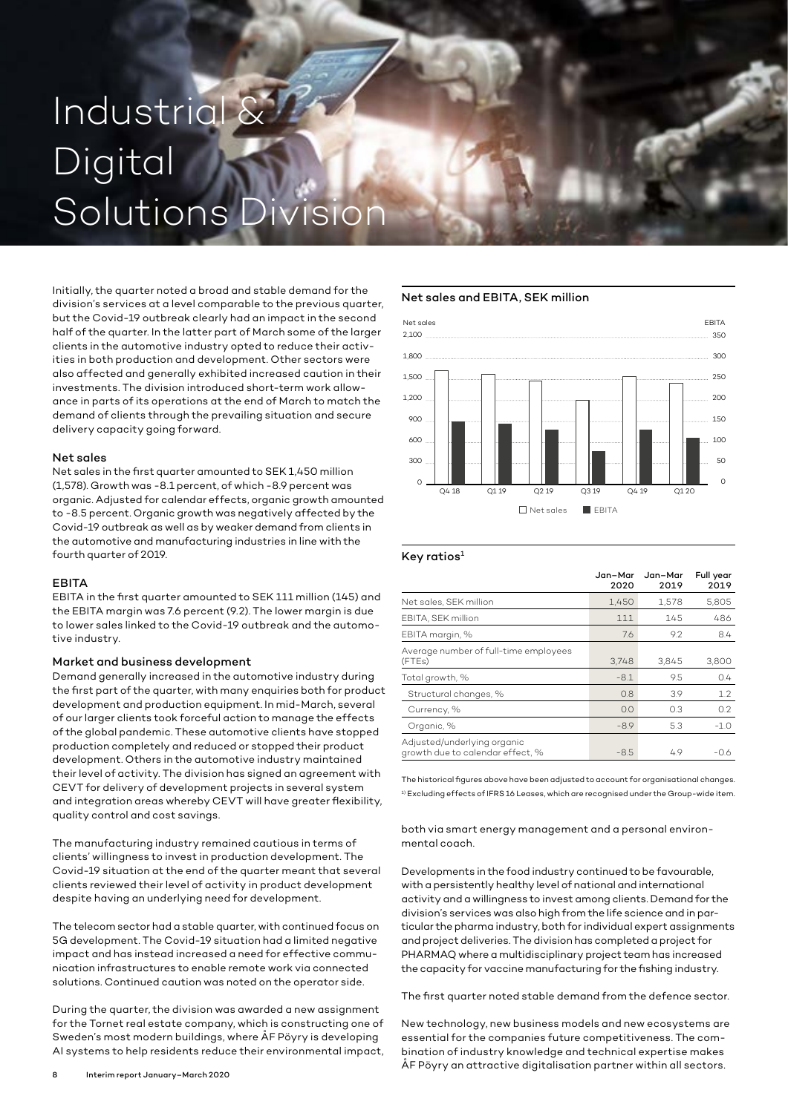# Industrial & Digital Solutions D

Initially, the quarter noted a broad and stable demand for the division's services at a level comparable to the previous quarter, but the Covid-19 outbreak clearly had an impact in the second half of the quarter. In the latter part of March some of the larger clients in the automotive industry opted to reduce their activities in both production and development. Other sectors were also affected and generally exhibited increased caution in their investments. The division introduced short-term work allowance in parts of its operations at the end of March to match the demand of clients through the prevailing situation and secure delivery capacity going forward.

#### Net sales

Net sales in the first quarter amounted to SEK 1,450 million (1,578). Growth was -8.1 percent, of which -8.9 percent was organic. Adjusted for calendar effects, organic growth amounted to -8.5 percent. Organic growth was negatively affected by the Covid-19 outbreak as well as by weaker demand from clients in the automotive and manufacturing industries in line with the fourth quarter of 2019.

#### **FRITA**

EBITA in the first quarter amounted to SEK 111 million (145) and the EBITA margin was 7.6 percent (9.2). The lower margin is due to lower sales linked to the Covid-19 outbreak and the automotive industry.

#### Market and business development

Demand generally increased in the automotive industry during the first part of the quarter, with many enquiries both for product development and production equipment. In mid-March, several of our larger clients took forceful action to manage the effects of the global pandemic. These automotive clients have stopped production completely and reduced or stopped their product development. Others in the automotive industry maintained their level of activity. The division has signed an agreement with CEVT for delivery of development projects in several system and integration areas whereby CEVT will have greater flexibility, quality control and cost savings.

The manufacturing industry remained cautious in terms of clients' willingness to invest in production development. The Covid-19 situation at the end of the quarter meant that several clients reviewed their level of activity in product development despite having an underlying need for development.

The telecom sector had a stable quarter, with continued focus on 5G development. The Covid-19 situation had a limited negative impact and has instead increased a need for effective communication infrastructures to enable remote work via connected solutions. Continued caution was noted on the operator side.

During the quarter, the division was awarded a new assignment for the Tornet real estate company, which is constructing one of Sweden's most modern buildings, where ÅF Pöyry is developing AI systems to help residents reduce their environmental impact,

# Net sales and EBITA, SEK million



#### $Key$  ratios<sup>1</sup>

|                                                                 | Jan-Mar<br>2020 | Jan-Mar<br>2019 | Full year<br>2019 |
|-----------------------------------------------------------------|-----------------|-----------------|-------------------|
| Net sales, SEK million                                          | 1.450           | 1,578           | 5,805             |
| EBITA, SEK million                                              | 111             | 145             | 486               |
| EBITA margin, %                                                 | 7.6             | 9.2             | 8.4               |
| Average number of full-time employees<br>(FTEs)                 | 3.748           | 3.845           | 3,800             |
| Total growth, %                                                 | $-8.1$          | 9.5             | 0.4               |
| Structural changes, %                                           | 0.8             | 39              | 1.2               |
| Currency, %                                                     | 0.0             | 0.3             | 0.2               |
| Organic, %                                                      | $-8.9$          | 5.3             | $-1.0$            |
| Adjusted/underlying organic<br>growth due to calendar effect, % | $-8.5$          | 49              | -06               |

The historical figures above have been adjusted to account for organisational changes. <sup>1)</sup> Excluding effects of IFRS 16 Leases, which are recognised under the Group-wide item.

both via smart energy management and a personal environmental coach.

Developments in the food industry continued to be favourable, with a persistently healthy level of national and international activity and a willingness to invest among clients. Demand for the division's services was also high from the life science and in particular the pharma industry, both for individual expert assignments and project deliveries. The division has completed a project for PHARMAQ where a multidisciplinary project team has increased the capacity for vaccine manufacturing for the fishing industry.

The first quarter noted stable demand from the defence sector.

New technology, new business models and new ecosystems are essential for the companies future competitiveness. The combination of industry knowledge and technical expertise makes ÅF Pöyry an attractive digitalisation partner within all sectors.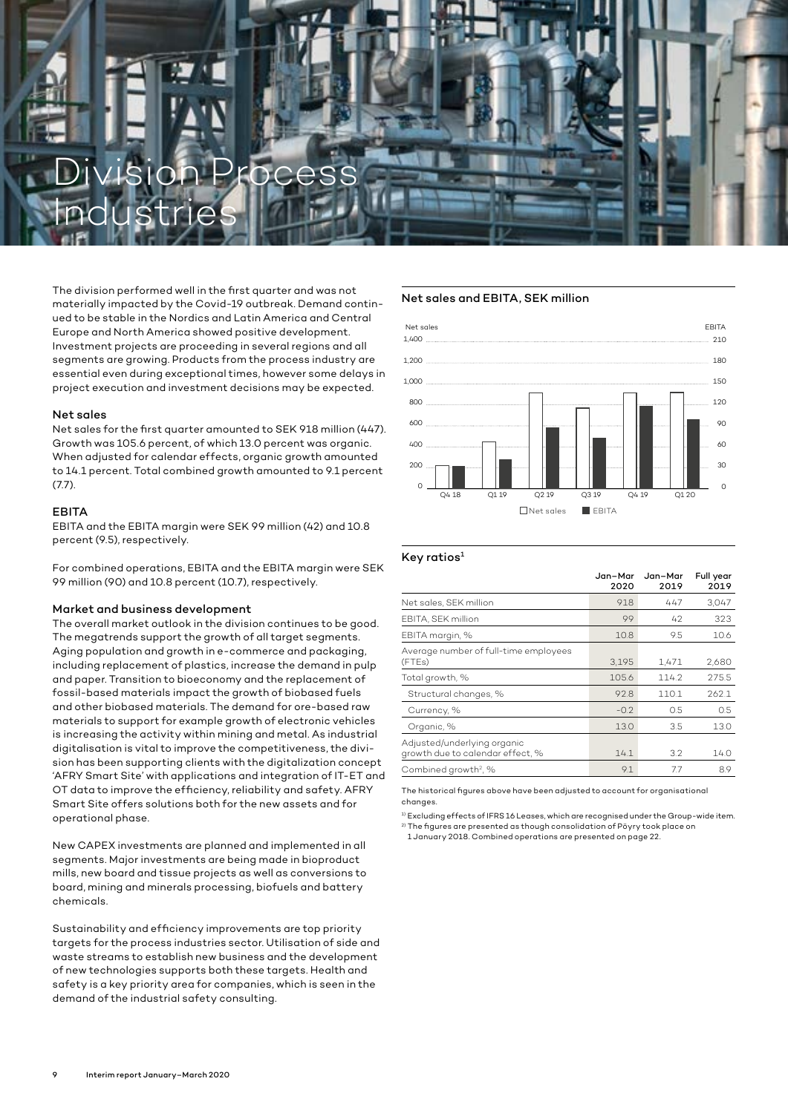

The division performed well in the first quarter and was not materially impacted by the Covid-19 outbreak. Demand continued to be stable in the Nordics and Latin America and Central Europe and North America showed positive development. Investment projects are proceeding in several regions and all segments are growing. Products from the process industry are essential even during exceptional times, however some delays in project execution and investment decisions may be expected.

#### Net sales

Net sales for the first quarter amounted to SEK 918 million (447). Growth was 105.6 percent, of which 13.0 percent was organic. When adjusted for calendar effects, organic growth amounted to 14.1 percent. Total combined growth amounted to 9.1 percent (7.7).

#### EBITA

EBITA and the EBITA margin were SEK 99 million (42) and 10.8 percent (9.5), respectively.

For combined operations, EBITA and the EBITA margin were SEK 99 million (90) and 10.8 percent (10.7), respectively.

#### Market and business development

The overall market outlook in the division continues to be good. The megatrends support the growth of all target segments. Aging population and growth in e-commerce and packaging, including replacement of plastics, increase the demand in pulp and paper. Transition to bioeconomy and the replacement of fossil-based materials impact the growth of biobased fuels and other biobased materials. The demand for ore-based raw materials to support for example growth of electronic vehicles is increasing the activity within mining and metal. As industrial digitalisation is vital to improve the competitiveness, the division has been supporting clients with the digitalization concept 'AFRY Smart Site' with applications and integration of IT-ET and OT data to improve the efficiency, reliability and safety. AFRY Smart Site offers solutions both for the new assets and for operational phase.

New CAPEX investments are planned and implemented in all segments. Major investments are being made in bioproduct mills, new board and tissue projects as well as conversions to board, mining and minerals processing, biofuels and battery chemicals.

Sustainability and efficiency improvements are top priority targets for the process industries sector. Utilisation of side and waste streams to establish new business and the development of new technologies supports both these targets. Health and safety is a key priority area for companies, which is seen in the demand of the industrial safety consulting.

### Net sales and EBITA, SEK million



#### Key ratios<sup>1</sup>

|                                                                 | Jan-Mar<br>2020 | Jan-Mar<br>2019 | Full year<br>2019 |
|-----------------------------------------------------------------|-----------------|-----------------|-------------------|
| Net sales, SEK million                                          | 918             | 447             | 3.047             |
| EBITA, SEK million                                              | 99              | 42              | 323               |
| EBITA margin, %                                                 | 10.8            | 9.5             | 10.6              |
| Average number of full-time employees<br>(FTEs)                 | 3.195           | 1.471           | 2,680             |
| Total growth, %                                                 | 105.6           | 114.2           | 275.5             |
| Structural changes, %                                           | 92.8            | 110.1           | 262.1             |
| Currency, %                                                     | $-0.2$          | 0.5             | 0.5               |
| Organic, %                                                      | 13.0            | 3.5             | 13.0              |
| Adjusted/underlying organic<br>growth due to calendar effect, % | 14.1            | 3.2             | 14.0              |
| Combined growth <sup>2</sup> , %                                | 9.1             | 77              | 8.9               |

The historical figures above have been adjusted to account for organisational changes.

<sup>1)</sup> Excluding effects of IFRS 16 Leases, which are recognised under the Group-wide item. 2) The figures are presented as though consolidation of Pöyry took place on

1 January 2018. Combined operations are presented on page 22.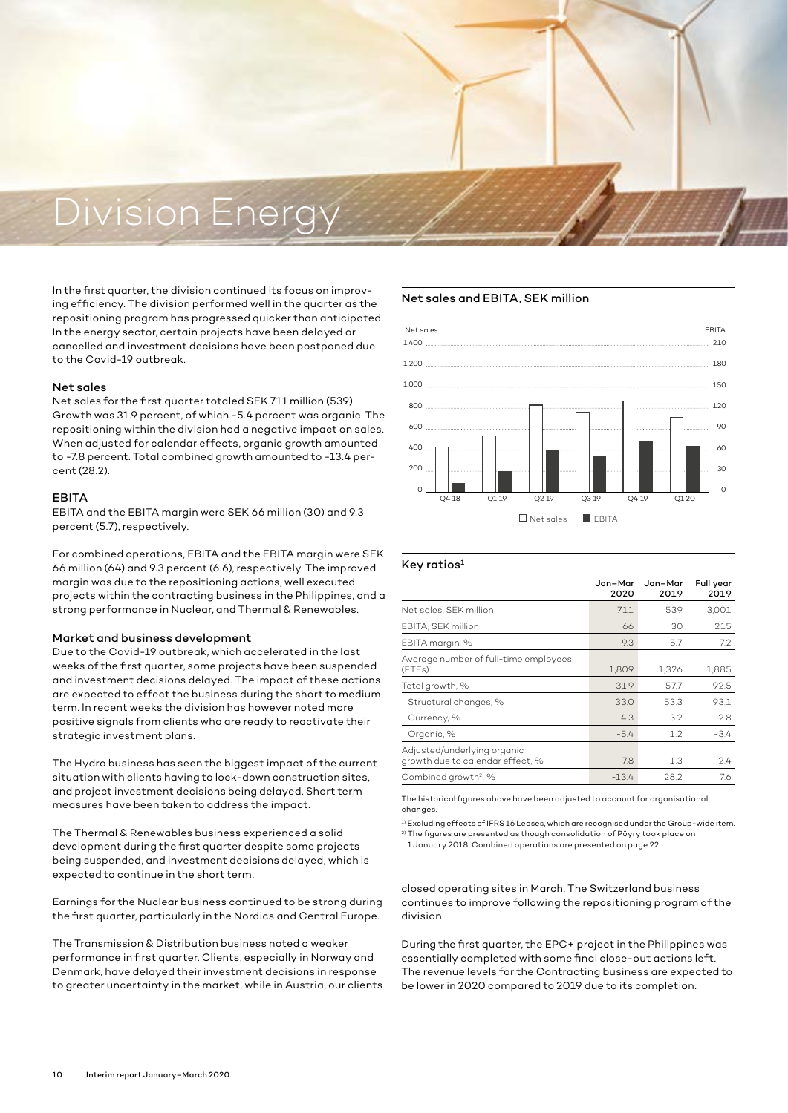# Division Energy

In the first quarter, the division continued its focus on improving efficiency. The division performed well in the quarter as the repositioning program has progressed quicker than anticipated. In the energy sector, certain projects have been delayed or cancelled and investment decisions have been postponed due to the Covid-19 outbreak.

#### Net sales

Net sales for the first quarter totaled SEK 711 million (539). Growth was 31.9 percent, of which -5.4 percent was organic. The repositioning within the division had a negative impact on sales. When adjusted for calendar effects, organic growth amounted to -7.8 percent. Total combined growth amounted to -13.4 percent (28.2).

#### EBITA

EBITA and the EBITA margin were SEK 66 million (30) and 9.3 percent (5.7), respectively.

For combined operations, EBITA and the EBITA margin were SEK 66 million (64) and 9.3 percent (6.6), respectively. The improved margin was due to the repositioning actions, well executed projects within the contracting business in the Philippines, and a strong performance in Nuclear, and Thermal & Renewables.

#### Market and business development

Due to the Covid-19 outbreak, which accelerated in the last weeks of the first quarter, some projects have been suspended and investment decisions delayed. The impact of these actions are expected to effect the business during the short to medium term. In recent weeks the division has however noted more positive signals from clients who are ready to reactivate their strategic investment plans.

The Hydro business has seen the biggest impact of the current situation with clients having to lock-down construction sites, and project investment decisions being delayed. Short term measures have been taken to address the impact.

The Thermal & Renewables business experienced a solid development during the first quarter despite some projects being suspended, and investment decisions delayed, which is expected to continue in the short term.

Earnings for the Nuclear business continued to be strong during the first quarter, particularly in the Nordics and Central Europe.

The Transmission & Distribution business noted a weaker performance in first quarter. Clients, especially in Norway and Denmark, have delayed their investment decisions in response to greater uncertainty in the market, while in Austria, our clients

#### Net sales and EBITA, SEK million



#### Key ratios $1$

|                                                                 | Jan-Mar<br>2020 | Jan-Mar<br>2019 | Full year<br>2019 |
|-----------------------------------------------------------------|-----------------|-----------------|-------------------|
| Net sales, SEK million                                          | 711             | 539             | 3.001             |
| EBITA, SEK million                                              | 66              | 30              | 215               |
| EBITA margin, %                                                 | 9.3             | 5.7             | 7.2               |
| Average number of full-time employees<br>(FTEs)                 | 1,809           | 1,326           | 1,885             |
| Total growth, %                                                 | 31.9            | 57.7            | 92.5              |
| Structural changes, %                                           | 33.0            | 53.3            | 93.1              |
| Currency, %                                                     | 4.3             | 3.2             | 2.8               |
| Organic, %                                                      | $-5.4$          | 1.2             | $-3.4$            |
| Adjusted/underlying organic<br>growth due to calendar effect, % | $-7.8$          | 1.3             | $-2.4$            |
| Combined growth <sup>2</sup> , %                                | $-13.4$         | 28.2            | 7.6               |

The historical figures above have been adjusted to account for organisational changes.

<sup>1)</sup> Excluding effects of IFRS 16 Leases, which are recognised under the Group-wide item. 2) The figures are presented as though consolidation of Pöyry took place on 1 January 2018. Combined operations are presented on page 22.

closed operating sites in March. The Switzerland business continues to improve following the repositioning program of the division.

During the first quarter, the EPC+ project in the Philippines was essentially completed with some final close-out actions left. The revenue levels for the Contracting business are expected to be lower in 2020 compared to 2019 due to its completion.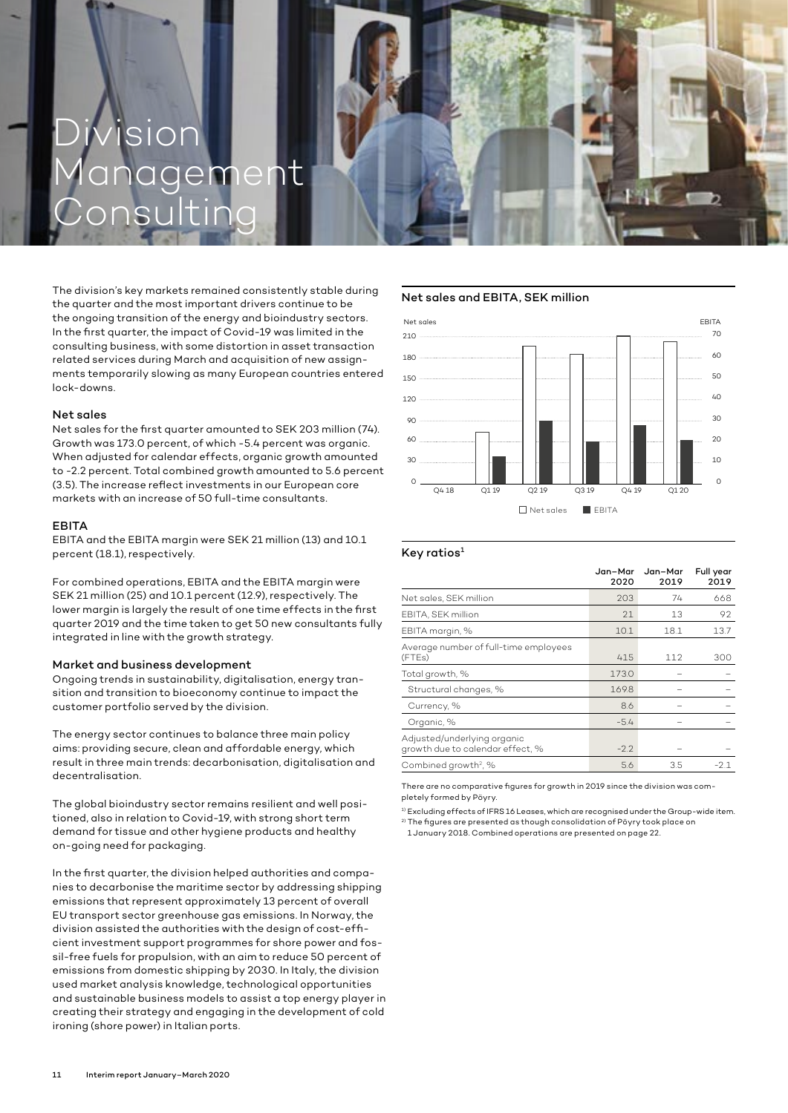# Division ement Consulting

The division's key markets remained consistently stable during the quarter and the most important drivers continue to be the ongoing transition of the energy and bioindustry sectors. In the first quarter, the impact of Covid-19 was limited in the consulting business, with some distortion in asset transaction related services during March and acquisition of new assignments temporarily slowing as many European countries entered lock-downs.

#### Net sales

Net sales for the first quarter amounted to SEK 203 million (74). Growth was 173.0 percent, of which -5.4 percent was organic. When adjusted for calendar effects, organic growth amounted to -2.2 percent. Total combined growth amounted to 5.6 percent (3.5). The increase reflect investments in our European core markets with an increase of 50 full-time consultants.

#### EBITA

EBITA and the EBITA margin were SEK 21 million (13) and 10.1 percent (18.1), respectively.

For combined operations, EBITA and the EBITA margin were SEK 21 million (25) and 10.1 percent (12.9), respectively. The lower margin is largely the result of one time effects in the first quarter 2019 and the time taken to get 50 new consultants fully integrated in line with the growth strategy.

#### Market and business development

Ongoing trends in sustainability, digitalisation, energy transition and transition to bioeconomy continue to impact the customer portfolio served by the division.

The energy sector continues to balance three main policy aims: providing secure, clean and affordable energy, which result in three main trends: decarbonisation, digitalisation and decentralisation.

The global bioindustry sector remains resilient and well positioned, also in relation to Covid-19, with strong short term demand for tissue and other hygiene products and healthy on-going need for packaging.

In the first quarter, the division helped authorities and companies to decarbonise the maritime sector by addressing shipping emissions that represent approximately 13 percent of overall EU transport sector greenhouse gas emissions. In Norway, the division assisted the authorities with the design of cost-efficient investment support programmes for shore power and fossil-free fuels for propulsion, with an aim to reduce 50 percent of emissions from domestic shipping by 2030. In Italy, the division used market analysis knowledge, technological opportunities and sustainable business models to assist a top energy player in creating their strategy and engaging in the development of cold ironing (shore power) in Italian ports.

#### Net sales and EBITA, SEK million



#### Key ratios $1$

|                                                                 | Jan-Mar<br>2020 | Jan-Mar<br>2019 | Full year<br>2019 |
|-----------------------------------------------------------------|-----------------|-----------------|-------------------|
| Net sales, SEK million                                          | 203             | 74              | 668               |
| EBITA, SEK million                                              | 21              | 13              | 92                |
| EBITA margin, %                                                 | 10.1            | 18.1            | 13.7              |
| Average number of full-time employees<br>(FTEs)                 | 415             | 112             | 300               |
| Total growth, %                                                 | 173.0           |                 |                   |
| Structural changes, %                                           | 169.8           |                 |                   |
| Currency, %                                                     | 8.6             |                 |                   |
| Organic, %                                                      | $-5.4$          |                 |                   |
| Adjusted/underlying organic<br>growth due to calendar effect, % | $-2.2$          |                 |                   |
| Combined growth <sup>2</sup> , %                                | 5.6             | 3.5             | $-2.1$            |

There are no comparative figures for growth in 2019 since the division was completely formed by Pöyry.

1) Excluding effects of IFRS 16 Leases, which are recognised under the Group-wide item.  $^{2)}$  The figures are presented as though consolidation of Pöyry took place on

1 January 2018. Combined operations are presented on page 22.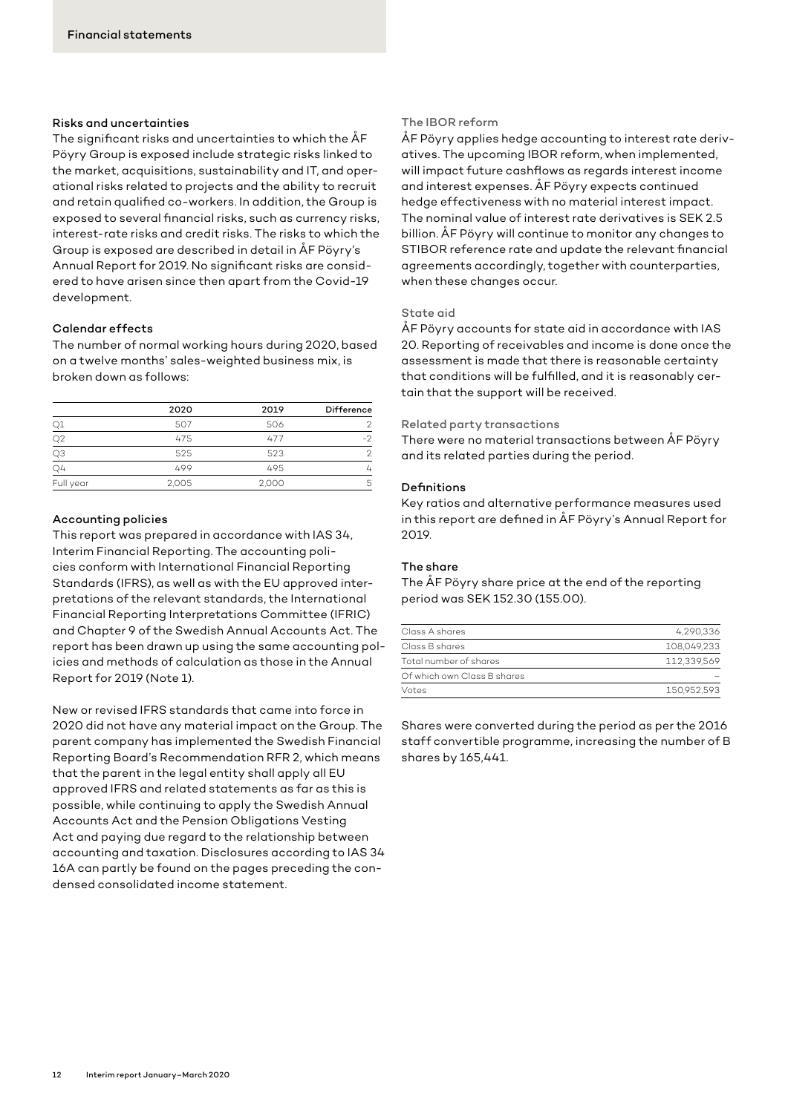#### Risks and uncertainties

The significant risks and uncertainties to which the ÅF Pöyry Group is exposed include strategic risks linked to the market, acquisitions, sustainability and IT, and operational risks related to projects and the ability to recruit and retain qualified co-workers. In addition, the Group is exposed to several financial risks, such as currency risks, interest-rate risks and credit risks. The risks to which the Group is exposed are described in detail in ÅF Pöyry's Annual Report for 2019. No significant risks are considered to have arisen since then apart from the Covid-19 development.

#### Calendar effects

The number of normal working hours during 2020, based on a twelve months' sales-weighted business mix, is broken down as follows:

|                | 2020  | 2019  | Difference |
|----------------|-------|-------|------------|
|                | 507   | 506   |            |
| Q2             | 475   | 477   | -2         |
| Q3             | 525   | 523   | 2          |
| Q <sub>4</sub> | 499   | 495   | 4          |
| Full year      | 2,005 | 2,000 | 5          |

#### Accounting policies

This report was prepared in accordance with IAS 34, Interim Financial Reporting. The accounting policies conform with International Financial Reporting Standards (IFRS), as well as with the EU approved interpretations of the relevant standards, the International Financial Reporting Interpretations Committee (IFRIC) and Chapter 9 of the Swedish Annual Accounts Act. The report has been drawn up using the same accounting policies and methods of calculation as those in the Annual Report for 2019 (Note 1).

New or revised IFRS standards that came into force in 2020 did not have any material impact on the Group. The parent company has implemented the Swedish Financial Reporting Board's Recommendation RFR 2, which means that the parent in the legal entity shall apply all EU approved IFRS and related statements as far as this is possible, while continuing to apply the Swedish Annual Accounts Act and the Pension Obligations Vesting Act and paying due regard to the relationship between accounting and taxation. Disclosures according to IAS 34 16A can partly be found on the pages preceding the condensed consolidated income statement.

#### The IBOR reform

ÅF Pöyry applies hedge accounting to interest rate derivatives. The upcoming IBOR reform, when implemented, will impact future cashflows as regards interest income and interest expenses. ÅF Pöyry expects continued hedge effectiveness with no material interest impact. The nominal value of interest rate derivatives is SEK 2.5 billion. ÅF Pöyry will continue to monitor any changes to STIBOR reference rate and update the relevant financial agreements accordingly, together with counterparties, when these changes occur.

#### State aid

ÅF Pöyry accounts for state aid in accordance with IAS 20. Reporting of receivables and income is done once the assessment is made that there is reasonable certainty that conditions will be fulfilled, and it is reasonably certain that the support will be received.

#### Related party transactions

There were no material transactions between ÅF Pöyry and its related parties during the period.

#### Definitions

Key ratios and alternative performance measures used in this report are defined in ÅF Pöyry's Annual Report for 2019.

#### The share

The ÅF Pöyry share price at the end of the reporting period was SEK 152.30 (155.00).

| Class A shares              | 4,290,336   |
|-----------------------------|-------------|
| Class B shares              | 108,049,233 |
| Total number of shares      | 112,339,569 |
| Of which own Class B shares |             |
| Votes                       | 150.952.593 |
|                             |             |

Shares were converted during the period as per the 2016 staff convertible programme, increasing the number of B shares by 165,441.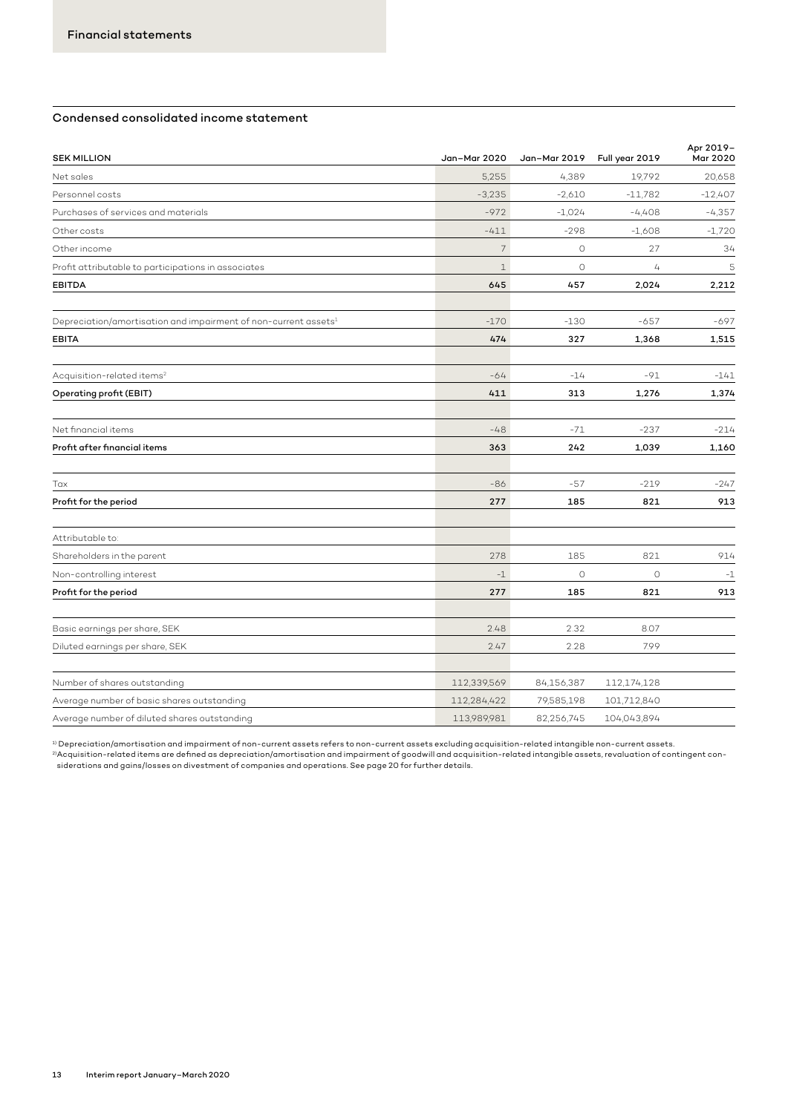## Condensed consolidated income statement

| <b>SEK MILLION</b>                                                          | Jan-Mar 2020   | Jan-Mar 2019 | Full year 2019 | Apr 2019-<br>Mar 2020 |
|-----------------------------------------------------------------------------|----------------|--------------|----------------|-----------------------|
| Net sales                                                                   | 5,255          | 4,389        | 19,792         | 20,658                |
| Personnel costs                                                             | $-3,235$       | $-2,610$     | $-11,782$      | $-12,407$             |
| Purchases of services and materials                                         | $-972$         | $-1,024$     | $-4,408$       | $-4,357$              |
| Other costs                                                                 | $-411$         | $-298$       | $-1,608$       | $-1,720$              |
| Other income                                                                | $\overline{7}$ | $\circ$      | 27             | 34                    |
| Profit attributable to participations in associates                         | $\mathbf{1}$   | $\circ$      | 4              | 5                     |
| <b>EBITDA</b>                                                               | 645            | 457          | 2,024          | 2,212                 |
| Depreciation/amortisation and impairment of non-current assets <sup>1</sup> | $-170$         | $-130$       | $-657$         | $-697$                |
| <b>EBITA</b>                                                                | 474            | 327          | 1,368          | 1,515                 |
| Acquisition-related items <sup>2</sup>                                      | $-64$          | $-14$        | $-91$          | $-141$                |
| Operating profit (EBIT)                                                     | 411            | 313          | 1,276          | 1,374                 |
| Net financial items                                                         | $-48$          | $-71$        | $-237$         | $-214$                |
| Profit after financial items                                                | 363            | 242          | 1,039          | 1,160                 |
| Tax                                                                         | $-86$          | $-57$        | $-219$         | $-247$                |
| Profit for the period                                                       | 277            | 185          | 821            | 913                   |
| Attributable to:                                                            |                |              |                |                       |
| Shareholders in the parent                                                  | 278            | 185          | 821            | 914                   |
| Non-controlling interest                                                    | $-1$           | $\circ$      | $\circ$        | $-1$                  |
| Profit for the period                                                       | 277            | 185          | 821            | 913                   |
| Basic earnings per share, SEK                                               | 2.48           | 2.32         | 8.07           |                       |
| Diluted earnings per share, SEK                                             | 2.47           | 2.28         | 7.99           |                       |
| Number of shares outstanding                                                | 112,339,569    | 84,156,387   | 112,174,128    |                       |
| Average number of basic shares outstanding                                  | 112,284,422    | 79,585,198   | 101,712,840    |                       |
| Average number of diluted shares outstanding                                | 113,989,981    | 82,256,745   | 104,043,894    |                       |

 $^{\rm 1)}$  Depreciation/amortisation and impairment of non-current assets refers to non-current assets excluding acquisition-related intangible non-current assets. <sup>2)</sup>Acquisition-related items are defined as depreciation/amortisation and impairment of goodwill and acquisition-related intangible assets, revaluation of contingent con-<br>siderations and gains/losses on divestment of comp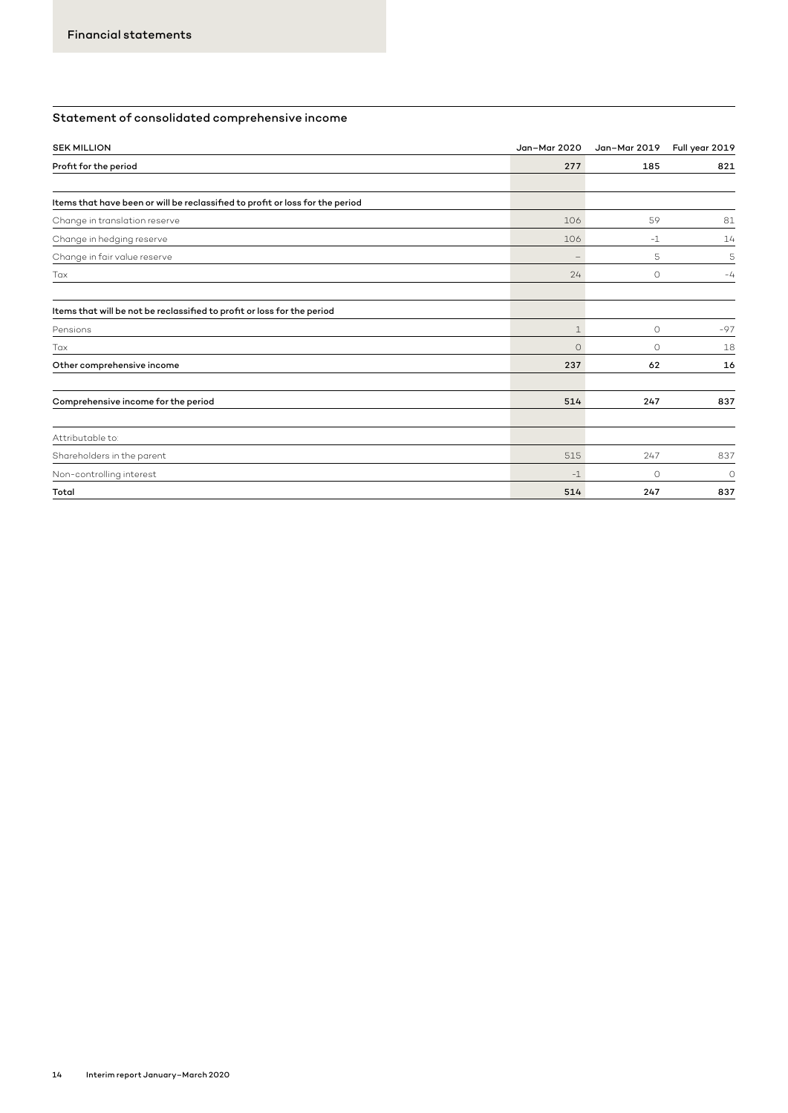# Statement of consolidated comprehensive income

| <b>SEK MILLION</b>                                                            | Jan-Mar 2020             | Jan-Mar 2019 | Full year 2019 |
|-------------------------------------------------------------------------------|--------------------------|--------------|----------------|
| Profit for the period                                                         | 277                      | 185          | 821            |
|                                                                               |                          |              |                |
| Items that have been or will be reclassified to profit or loss for the period |                          |              |                |
| Change in translation reserve                                                 | 106                      | 59           | 81             |
| Change in hedging reserve                                                     | 106                      | $-1$         | 14             |
| Change in fair value reserve                                                  | $\overline{\phantom{a}}$ | 5            | 5              |
| Tax                                                                           | 24                       | $\circ$      | $-4$           |
| Items that will be not be reclassified to profit or loss for the period       |                          |              |                |
| Pensions                                                                      | $\mathbf 1$              | $\circ$      | $-97$          |
| Tax                                                                           | $\Omega$                 | $\circ$      | 18             |
| Other comprehensive income                                                    | 237                      | 62           | 16             |
| Comprehensive income for the period                                           | 514                      | 247          | 837            |
| Attributable to:                                                              |                          |              |                |
| Shareholders in the parent                                                    | 515                      | 247          | 837            |
| Non-controlling interest                                                      | $-1$                     | $\circ$      | $\circ$        |
| Total                                                                         | 514                      | 247          | 837            |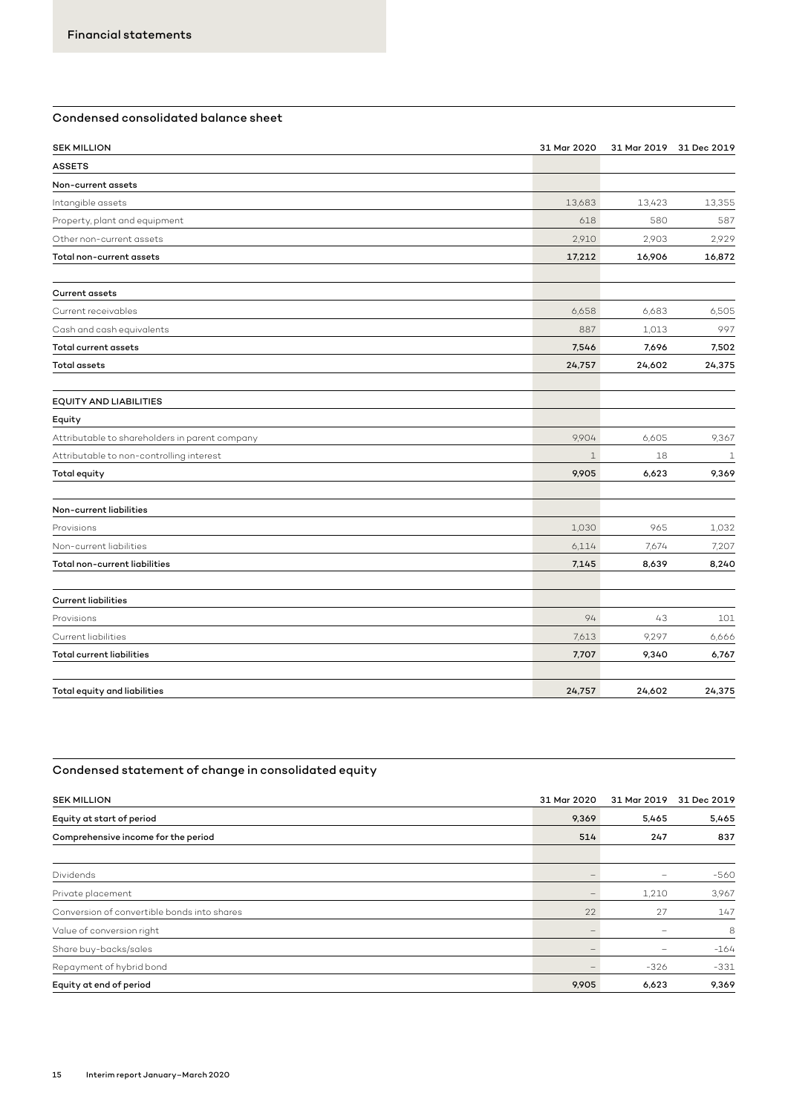# Condensed consolidated balance sheet

| <b>SEK MILLION</b>                             | 31 Mar 2020 |        | 31 Mar 2019 31 Dec 2019 |
|------------------------------------------------|-------------|--------|-------------------------|
| <b>ASSETS</b>                                  |             |        |                         |
| Non-current assets                             |             |        |                         |
| Intangible assets                              | 13,683      | 13,423 | 13,355                  |
| Property, plant and equipment                  | 618         | 580    | 587                     |
| Other non-current assets                       | 2,910       | 2,903  | 2,929                   |
| Total non-current assets                       | 17,212      | 16,906 | 16,872                  |
| <b>Current assets</b>                          |             |        |                         |
| Current receivables                            | 6,658       | 6,683  | 6,505                   |
| Cash and cash equivalents                      | 887         | 1,013  | 997                     |
| <b>Total current assets</b>                    | 7,546       | 7,696  | 7,502                   |
| <b>Total assets</b>                            | 24,757      | 24,602 | 24,375                  |
|                                                |             |        |                         |
| <b>EQUITY AND LIABILITIES</b>                  |             |        |                         |
| Equity                                         |             |        |                         |
| Attributable to shareholders in parent company | 9,904       | 6,605  | 9,367                   |
| Attributable to non-controlling interest       | $\mathbf 1$ | 18     | $\mathbf 1$             |
| Total equity                                   | 9,905       | 6,623  | 9,369                   |
| Non-current liabilities                        |             |        |                         |
| Provisions                                     | 1,030       | 965    | 1,032                   |
| Non-current liabilities                        | 6,114       | 7,674  | 7,207                   |
| Total non-current liabilities                  | 7,145       | 8,639  | 8,240                   |
| <b>Current liabilities</b>                     |             |        |                         |
| Provisions                                     | 94          | 43     | 101                     |
| Current liabilities                            | 7,613       | 9,297  | 6,666                   |
| <b>Total current liabilities</b>               | 7,707       | 9,340  | 6,767                   |
|                                                |             |        |                         |
| Total equity and liabilities                   | 24,757      | 24,602 | 24,375                  |

# Condensed statement of change in consolidated equity

| <b>SEK MILLION</b>                          | 31 Mar 2020 | 31 Mar 2019              | 31 Dec 2019 |
|---------------------------------------------|-------------|--------------------------|-------------|
| Equity at start of period                   | 9,369       | 5,465                    | 5,465       |
| Comprehensive income for the period         | 514         | 247                      | 837         |
|                                             |             |                          |             |
| Dividends                                   |             |                          | $-560$      |
| Private placement                           |             | 1,210                    | 3,967       |
| Conversion of convertible bonds into shares | 22          | 27                       | 147         |
| Value of conversion right                   | -           | $\overline{\phantom{0}}$ | 8           |
| Share buy-backs/sales                       |             |                          | $-164$      |
| Repayment of hybrid bond                    |             | $-326$                   | $-331$      |
| Equity at end of period                     | 9,905       | 6,623                    | 9,369       |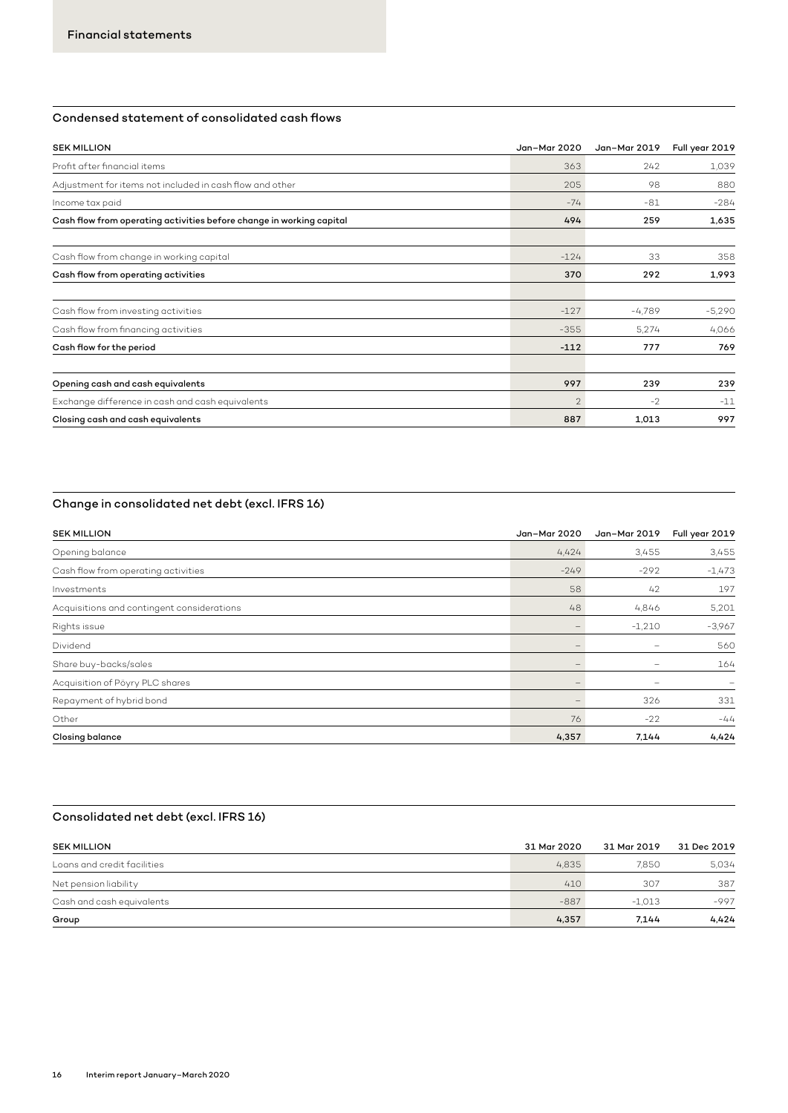# Condensed statement of consolidated cash flows

| <b>SEK MILLION</b>                                                   | Jan-Mar 2020   | Jan-Mar 2019 | Full year 2019 |
|----------------------------------------------------------------------|----------------|--------------|----------------|
| Profit after financial items                                         | 363            | 242          | 1,039          |
| Adjustment for items not included in cash flow and other             | 205            | 98           | 880            |
| Income tax paid                                                      | $-74$          | $-81$        | $-284$         |
| Cash flow from operating activities before change in working capital | 494            | 259          | 1,635          |
| Cash flow from change in working capital                             | $-124$         | 33           | 358            |
| Cash flow from operating activities                                  | 370            | 292          | 1,993          |
| Cash flow from investing activities                                  | $-127$         | $-4,789$     | $-5,290$       |
| Cash flow from financing activities                                  | $-355$         | 5,274        | 4,066          |
| Cash flow for the period                                             | $-112$         | 777          | 769            |
| Opening cash and cash equivalents                                    | 997            | 239          | 239            |
| Exchange difference in cash and cash equivalents                     | $\overline{2}$ | $-2$         | $-11$          |
| Closing cash and cash equivalents                                    | 887            | 1,013        | 997            |

# Change in consolidated net debt (excl. IFRS 16)

| <b>SEK MILLION</b>                         | Jan-Mar 2020                    | Jan-Mar 2019 | Full year 2019 |
|--------------------------------------------|---------------------------------|--------------|----------------|
| Opening balance                            | 4.424                           | 3,455        | 3,455          |
| Cash flow from operating activities        | $-249$                          | $-292$       | $-1,473$       |
| Investments                                | 58                              | 42           | 197            |
| Acquisitions and contingent considerations | 48                              | 4,846        | 5,201          |
| Rights issue                               | $\qquad \qquad -$               | $-1,210$     | $-3,967$       |
| Dividend                                   | $\qquad \qquad -$               | -            | 560            |
| Share buy-backs/sales                      | $\hspace{0.1mm}-\hspace{0.1mm}$ |              | 164            |
| Acquisition of Pöyry PLC shares            |                                 |              | -              |
| Repayment of hybrid bond                   | $\qquad \qquad -$               | 326          | 331            |
| Other                                      | 76                              | $-22$        | $-44$          |
| Closing balance                            | 4,357                           | 7,144        | 4,424          |

# Consolidated net debt (excl. IFRS 16)

| <b>SEK MILLION</b>          | 31 Mar 2020 | 31 Mar 2019 | 31 Dec 2019 |
|-----------------------------|-------------|-------------|-------------|
| Loans and credit facilities | 4.835       | 7.850       | 5.034       |
| Net pension liability       | 410         | 307         | 387         |
| Cash and cash equivalents   | $-887$      | $-1.013$    | $-997$      |
| Group                       | 4,357       | 7.144       | 4,424       |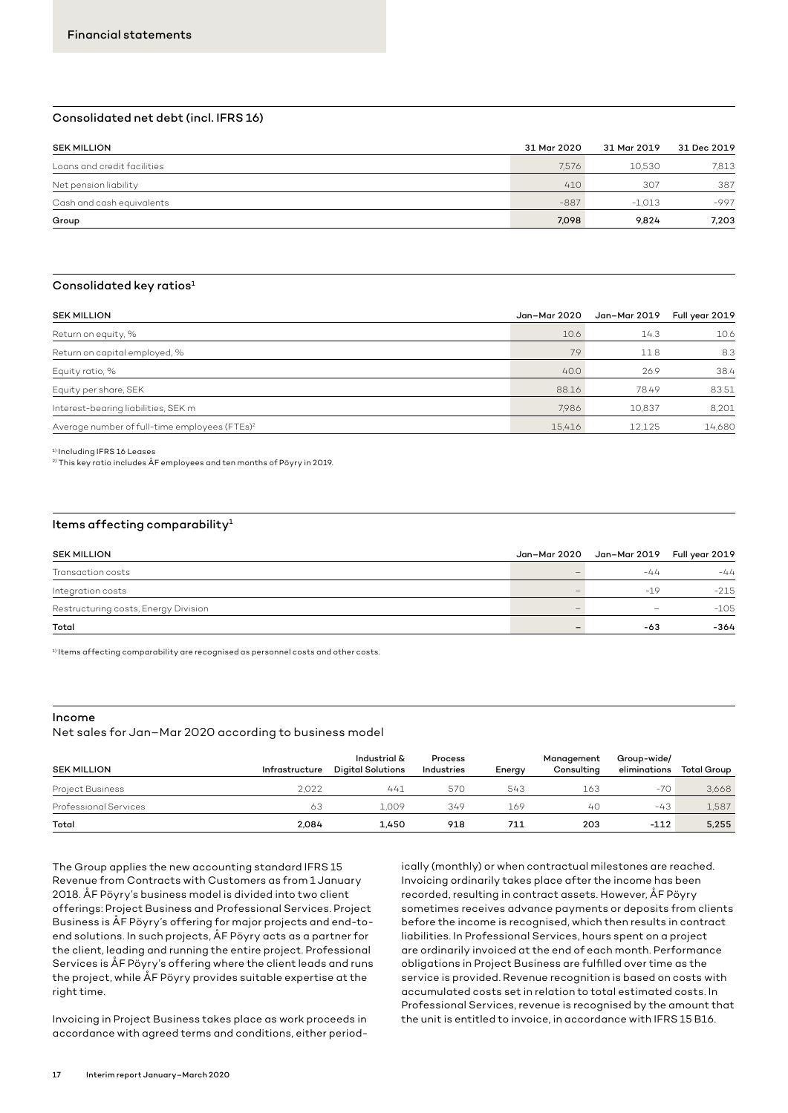#### Consolidated net debt (incl. IFRS 16)

| <b>SEK MILLION</b>          | 31 Mar 2020 | 31 Mar 2019 | 31 Dec 2019 |
|-----------------------------|-------------|-------------|-------------|
| Loans and credit facilities | 7.576       | 10.530      | 7,813       |
| Net pension liability       | 410         | 307         | 387         |
| Cash and cash equivalents   | $-887$      | $-1.013$    | $-997$      |
| Group                       | 7.098       | 9.824       | 7.203       |

#### Consolidated key ratios<sup>1</sup>

| <b>SEK MILLION</b>                                        | Jan–Mar 2020 | Jan–Mar 2019 | Full year 2019 |
|-----------------------------------------------------------|--------------|--------------|----------------|
| Return on equity, %                                       | 10.6         | 14.3         | 10.6           |
| Return on capital employed, %                             | 7.9          | 11.8         | 8.3            |
| Equity ratio, %                                           | 40.0         | 26.9         | 38.4           |
| Equity per share, SEK                                     | 88.16        | 78.49        | 83.51          |
| Interest-bearing liabilities, SEK m                       | 7.986        | 10.837       | 8.201          |
| Average number of full-time employees (FTEs) <sup>2</sup> | 15.416       | 12,125       | 14,680         |

1) Including IFRS 16 Leases

 $2)$  This key ratio includes ÅF employees and ten months of Pöyry in 2019.

#### Items affecting comparability $1$

| <b>SEK MILLION</b>                   | Jan-Mar 2020 Jan-Mar 2019 Full year 2019 |        |
|--------------------------------------|------------------------------------------|--------|
| Transaction costs                    | $-44$                                    | $-44$  |
| Integration costs                    | $-1Q$                                    | $-215$ |
| Restructuring costs, Energy Division | $\sim$                                   | $-105$ |
| Total                                | $-63$                                    | $-364$ |

1) Items affecting comparability are recognised as personnel costs and other costs.

#### Income

Net sales for Jan–Mar 2020 according to business model

| <b>SEK MILLION</b>           | Infrastructure | Industrial &<br><b>Digital Solutions</b> | Process<br>Industries | Energy | Management<br>Consulting | Group-wide/<br>eliminations | Total Group |
|------------------------------|----------------|------------------------------------------|-----------------------|--------|--------------------------|-----------------------------|-------------|
| Project Business             | 2.022          | 441                                      | 570                   | 543    | 163                      | $-70$                       | 3.668       |
| <b>Professional Services</b> | 63             | 1.009                                    | 349                   | 169    | 40                       | $-43$                       | 1,587       |
| Total                        | 2.084          | 1.450                                    | 918                   | 711    | 203                      | $-112$                      | 5.255       |

The Group applies the new accounting standard IFRS 15 Revenue from Contracts with Customers as from 1 January 2018. ÅF Pöyry's business model is divided into two client offerings: Project Business and Professional Services. Project Business is ÅF Pöyry's offering for major projects and end-toend solutions. In such projects, ÅF Pöyry acts as a partner for the client, leading and running the entire project. Professional Services is ÅF Pöyry's offering where the client leads and runs the project, while ÅF Pöyry provides suitable expertise at the right time.

Invoicing in Project Business takes place as work proceeds in accordance with agreed terms and conditions, either period-

ically (monthly) or when contractual milestones are reached. Invoicing ordinarily takes place after the income has been recorded, resulting in contract assets. However, ÅF Pöyry sometimes receives advance payments or deposits from clients before the income is recognised, which then results in contract liabilities. In Professional Services, hours spent on a project are ordinarily invoiced at the end of each month. Performance obligations in Project Business are fulfilled over time as the service is provided. Revenue recognition is based on costs with accumulated costs set in relation to total estimated costs. In Professional Services, revenue is recognised by the amount that the unit is entitled to invoice, in accordance with IFRS 15 B16.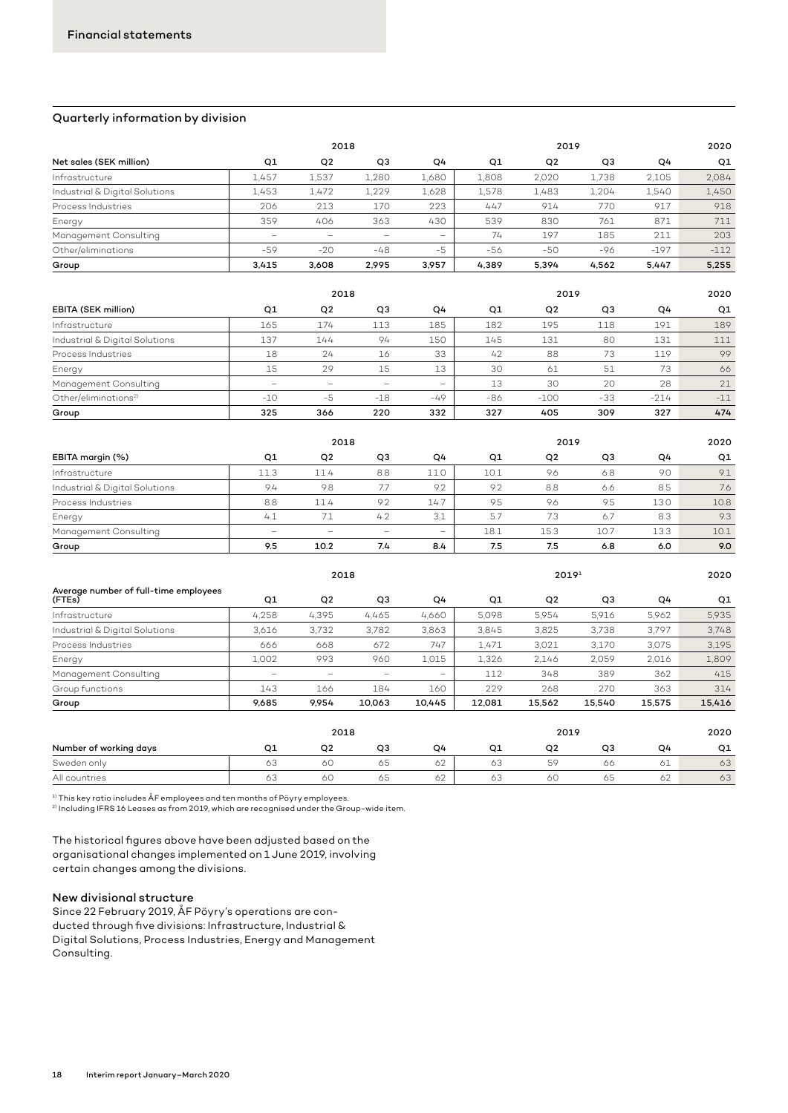#### Quarterly information by division

|                                |                          | 2018           |       |        | 2019  |                |                |        | 2020   |  |  |
|--------------------------------|--------------------------|----------------|-------|--------|-------|----------------|----------------|--------|--------|--|--|
| Net sales (SEK million)        | Q1                       | Q <sub>2</sub> | Q3    | Q4     | Q1    | Q <sub>2</sub> | Q <sub>3</sub> | Q4     | Q1     |  |  |
| Infrastructure                 | 1.457                    | 1,537          | 1,280 | 1,680  | 1,808 | 2,020          | 1,738          | 2.105  | 2.084  |  |  |
| Industrial & Digital Solutions | 1.453                    | 1.472          | 1,229 | 1.628  | 1,578 | 1.483          | 1.204          | 1,540  | 1.450  |  |  |
| Process Industries             | 206                      | 213            | 170   | 223    | 447   | 914            | 770            | 917    | 918    |  |  |
| Energy                         | 359                      | 406            | 363   | 430    | 539   | 830            | 761            | 871    | 711    |  |  |
| Management Consulting          | $\overline{\phantom{0}}$ | -              |       | $\sim$ | 74    | 197            | 185            | 211    | 203    |  |  |
| Other/eliminations             | $-59$                    | $-20$          | -48   | $-5$   | -56   | $-50$          | -96            | $-197$ | $-112$ |  |  |
| Group                          | 3.415                    | 3.608          | 2.995 | 3.957  | 4.389 | 5.394          | 4.562          | 5.447  | 5.255  |  |  |

|                                  |                   | 2018              |                 |                   |       | 2019           |       |        | 2020  |
|----------------------------------|-------------------|-------------------|-----------------|-------------------|-------|----------------|-------|--------|-------|
| EBITA (SEK million)              | Q1                | Q <sub>2</sub>    | Q3              | Q4                | Q1    | Q <sub>2</sub> | Q3    | Q4     | Q1    |
| Infrastructure                   | 165               | 174               | 113             | 185               | 182   | 195            | 118   | 191    | 189   |
| Industrial & Digital Solutions   | 137               | 144               | 94              | 150               | 145   | 131            | 80    | 131    | 111   |
| Process Industries               | 18                | 24                | 16              | 33                | 42    | 88             | 73    | 119    | 99    |
| Energy                           | 15                | 29                | 15              | 13                | 30    | 61             | 51    | 73     | 66    |
| Management Consulting            | $\hspace{0.05cm}$ | $\hspace{0.05cm}$ | $\qquad \qquad$ | $\hspace{0.05cm}$ | 13    | 30             | 20    | 28     | 21    |
| Other/eliminations <sup>2)</sup> | $-10$             | -5                | $-18$           | $-49$             | $-86$ | $-100$         | $-33$ | $-214$ | $-11$ |
| Group                            | 325               | 366               | 220             | 332               | 327   | 405            | 309   | 327    | 474   |

|                                |                          | 2018              |                          |                   |      | 2019<br>Q <sub>2</sub><br>Q <sub>3</sub><br>Q1<br>O4<br>10.1<br>9.6<br>9.0<br>6.8<br>9.2<br>8.8<br>8.5<br>6.6<br>9.5<br>13.0<br>9.6<br>9.5<br>5.7<br>8.3<br>7.3<br>6.7 |      |      | 2020 |
|--------------------------------|--------------------------|-------------------|--------------------------|-------------------|------|------------------------------------------------------------------------------------------------------------------------------------------------------------------------|------|------|------|
| EBITA margin (%)               | Q1                       | Q <sub>2</sub>    | Q3                       | Q4                |      |                                                                                                                                                                        |      |      | Q1   |
| Infrastructure                 | 11.3                     | 11.4              | 8.8                      | 11.0              |      |                                                                                                                                                                        |      |      | 9.1  |
| Industrial & Digital Solutions | 9.4                      | 9.8               | 7.7                      | 9.2               |      |                                                                                                                                                                        |      |      | 7.6  |
| Process Industries             | 8.8                      | 11.4              | 9.2                      | 14.7              |      |                                                                                                                                                                        |      |      | 10.8 |
| Energy                         | 4.1                      | 71                | 4.2                      | 3.1               |      |                                                                                                                                                                        |      |      | 9.3  |
| Management Consulting          | $\overline{\phantom{0}}$ | $\hspace{0.05cm}$ | $\overline{\phantom{a}}$ | $\hspace{0.05cm}$ | 18.1 | 15.3                                                                                                                                                                   | 10.7 | 13.3 | 10.1 |
| Group                          | 9.5                      | 10.2              | 7.4                      | 8.4               | 7.5  | 7.5                                                                                                                                                                    | 6.8  | 6.0  | 9.0  |

|                                                 |                          | 2018                     |                          |                          |        | 2019 <sup>1</sup> |        |        | 2020   |
|-------------------------------------------------|--------------------------|--------------------------|--------------------------|--------------------------|--------|-------------------|--------|--------|--------|
| Average number of full-time employees<br>(FTEs) | Q1                       | Q <sub>2</sub>           | Q3                       | Q4                       | Q1     | Q <sub>2</sub>    | Q3     | Q4     | Q1     |
| Infrastructure                                  | 4,258                    | 4,395                    | 4.465                    | 4.660                    | 5.098  | 5.954             | 5.916  | 5.962  | 5.935  |
| Industrial & Digital Solutions                  | 3.616                    | 3.732                    | 3,782                    | 3.863                    | 3.845  | 3,825             | 3.738  | 3.797  | 3.748  |
| Process Industries                              | 666                      | 668                      | 672                      | 747                      | 1.471  | 3.021             | 3.170  | 3,075  | 3.195  |
| Energy                                          | 1,002                    | 993                      | 960                      | 1.015                    | 1,326  | 2.146             | 2.059  | 2,016  | 1,809  |
| Management Consulting                           | $\overline{\phantom{0}}$ | $\overline{\phantom{0}}$ | $\overline{\phantom{m}}$ | $\overline{\phantom{m}}$ | 112    | 348               | 389    | 362    | 415    |
| Group functions                                 | 143                      | 166                      | 184                      | 160                      | 229    | 268               | 270    | 363    | 314    |
| Group                                           | 9,685                    | 9.954                    | 10,063                   | 10,445                   | 12,081 | 15,562            | 15,540 | 15,575 | 15,416 |
|                                                 |                          | 2018                     |                          |                          |        | 2019              |        |        | 2020   |
| Number of working days                          | Q1                       | Q2                       | Q3                       | Q4                       | Q1     | Q2                | Q3     | Q4     | Q1     |
| Sweden only                                     | 63                       | 60                       | 65                       | 62                       | 63     | 59                | 66     | 61     | 63     |

All countries | 63 60 65 62 60 65 62 63

 $^{1)}$  This key ratio includes ÅF employees and ten months of Pöyry employees.

2) Including IFRS 16 Leases as from 2019, which are recognised under the Group-wide item.

The historical figures above have been adjusted based on the organisational changes implemented on 1 June 2019, involving certain changes among the divisions.

#### New divisional structure

Since 22 February 2019, ÅF Pöyry's operations are conducted through five divisions: Infrastructure, Industrial & Digital Solutions, Process Industries, Energy and Management Consulting.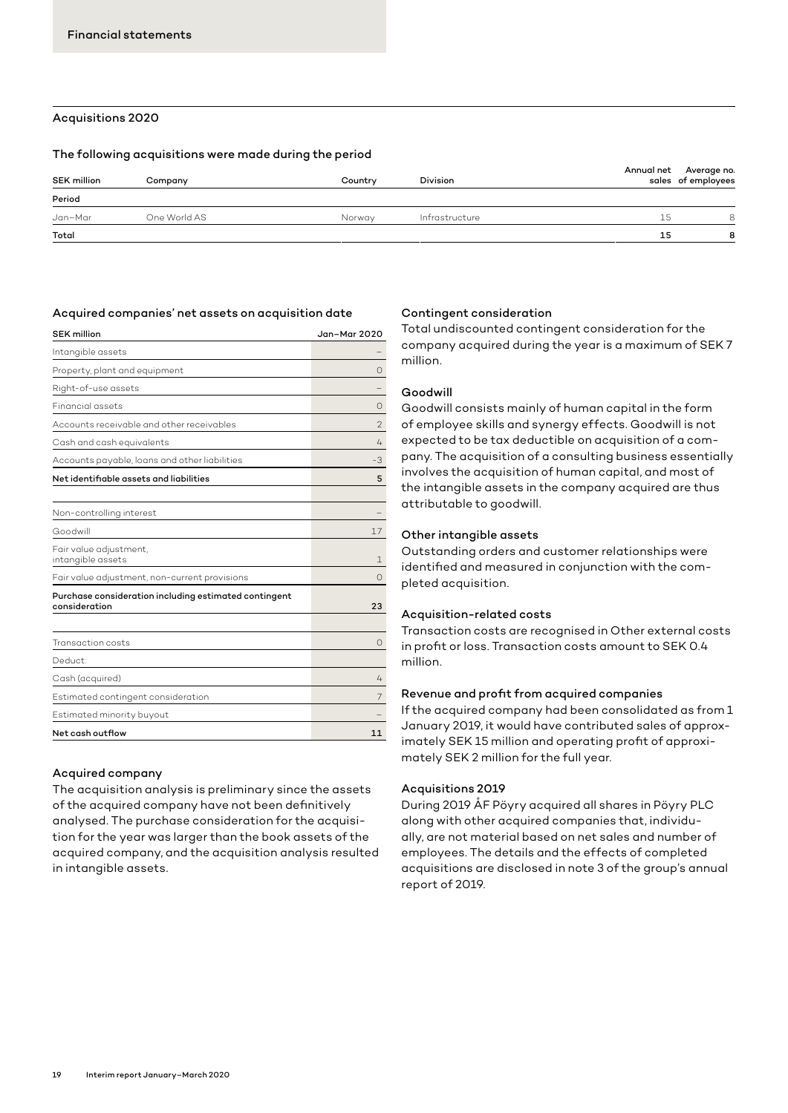# Acquisitions 2020

#### The following acquisitions were made during the period

| <b>SEK million</b> | Company      | Country | <b>Division</b> |    | Annual net Average no.<br>sales of employees |
|--------------------|--------------|---------|-----------------|----|----------------------------------------------|
| Period             |              |         |                 |    |                                              |
| Jan–Mar            | One World AS | Norway  | Infrastructure  | 15 | 8                                            |
| Total              |              |         |                 | 15 | 8                                            |
|                    |              |         |                 |    |                                              |

#### Acquired companies' net assets on acquisition date

| <b>SEK million</b>                                                     | Jan-Mar 2020 |
|------------------------------------------------------------------------|--------------|
| Intangible assets                                                      |              |
| Property, plant and equipment                                          | Ω            |
| Right-of-use assets                                                    |              |
| <b>Financial assets</b>                                                | Ω            |
| Accounts receivable and other receivables                              | 2            |
| Cash and cash equivalents                                              | 4            |
| Accounts payable, loans and other liabilities                          | -3           |
| Net identifiable assets and liabilities                                | 5            |
|                                                                        |              |
| Non-controlling interest                                               |              |
| Goodwill                                                               | 17           |
| Fair value adjustment,<br>intangible assets                            | 1.           |
| Fair value adjustment, non-current provisions                          | $\Omega$     |
| Purchase consideration including estimated contingent<br>consideration | 23           |
|                                                                        |              |
| Transaction costs                                                      | $\circ$      |
| Deduct:                                                                |              |
| Cash (acquired)                                                        | 4            |
| Estimated contingent consideration                                     | 7            |
| Estimated minority buyout                                              |              |
| Net cash outflow                                                       | 11           |
|                                                                        |              |

#### Acquired company

The acquisition analysis is preliminary since the assets of the acquired company have not been definitively analysed. The purchase consideration for the acquisition for the year was larger than the book assets of the acquired company, and the acquisition analysis resulted in intangible assets.

#### Contingent consideration

Total undiscounted contingent consideration for the company acquired during the year is a maximum of SEK 7 million.

#### Goodwill

Goodwill consists mainly of human capital in the form of employee skills and synergy effects. Goodwill is not expected to be tax deductible on acquisition of a company. The acquisition of a consulting business essentially involves the acquisition of human capital, and most of the intangible assets in the company acquired are thus attributable to goodwill.

#### Other intangible assets

Outstanding orders and customer relationships were identified and measured in conjunction with the completed acquisition.

#### Acquisition-related costs

Transaction costs are recognised in Other external costs in profit or loss. Transaction costs amount to SEK 0.4 million.

#### Revenue and profit from acquired companies

If the acquired company had been consolidated as from 1 January 2019, it would have contributed sales of approximately SEK 15 million and operating profit of approximately SEK 2 million for the full year.

#### Acquisitions 2019

During 2019 ÅF Pöyry acquired all shares in Pöyry PLC along with other acquired companies that, individually, are not material based on net sales and number of employees. The details and the effects of completed acquisitions are disclosed in note 3 of the group's annual report of 2019.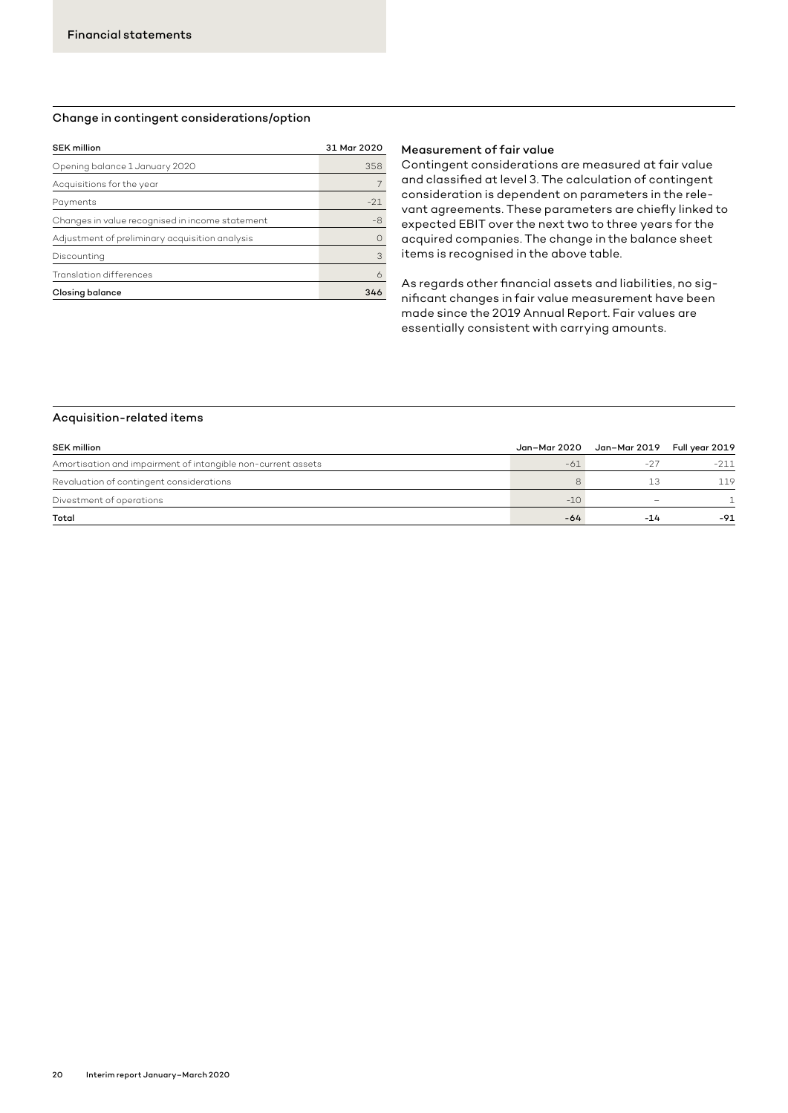### Change in contingent considerations/option

| <b>SEK million</b>                              | 31 Mar 2020 |
|-------------------------------------------------|-------------|
| Opening balance 1 January 2020                  | 358         |
| Acquisitions for the year                       |             |
| Payments                                        | $-21$       |
| Changes in value recognised in income statement | $-8$        |
| Adjustment of preliminary acquisition analysis  | ∩           |
| Discounting                                     | 3           |
| Translation differences                         |             |
| <b>Closing balance</b>                          | 346         |
|                                                 |             |

#### Measurement of fair value

Contingent considerations are measured at fair value and classified at level 3. The calculation of contingent consideration is dependent on parameters in the relevant agreements. These parameters are chiefly linked to expected EBIT over the next two to three years for the acquired companies. The change in the balance sheet items is recognised in the above table.

As regards other financial assets and liabilities, no significant changes in fair value measurement have been made since the 2019 Annual Report. Fair values are essentially consistent with carrying amounts.

#### Acquisition-related items

| <b>SEK million</b>                                           | Jan–Mar 2020 | Jan–Mar 2019 Full year 2019 |        |
|--------------------------------------------------------------|--------------|-----------------------------|--------|
| Amortisation and impairment of intangible non-current assets | $-61$        | $-27$                       | $-211$ |
| Revaluation of contingent considerations                     |              | 13                          | 119    |
| Divestment of operations                                     | $-10$        |                             |        |
| Total                                                        | -64          | $-14$                       | $-91$  |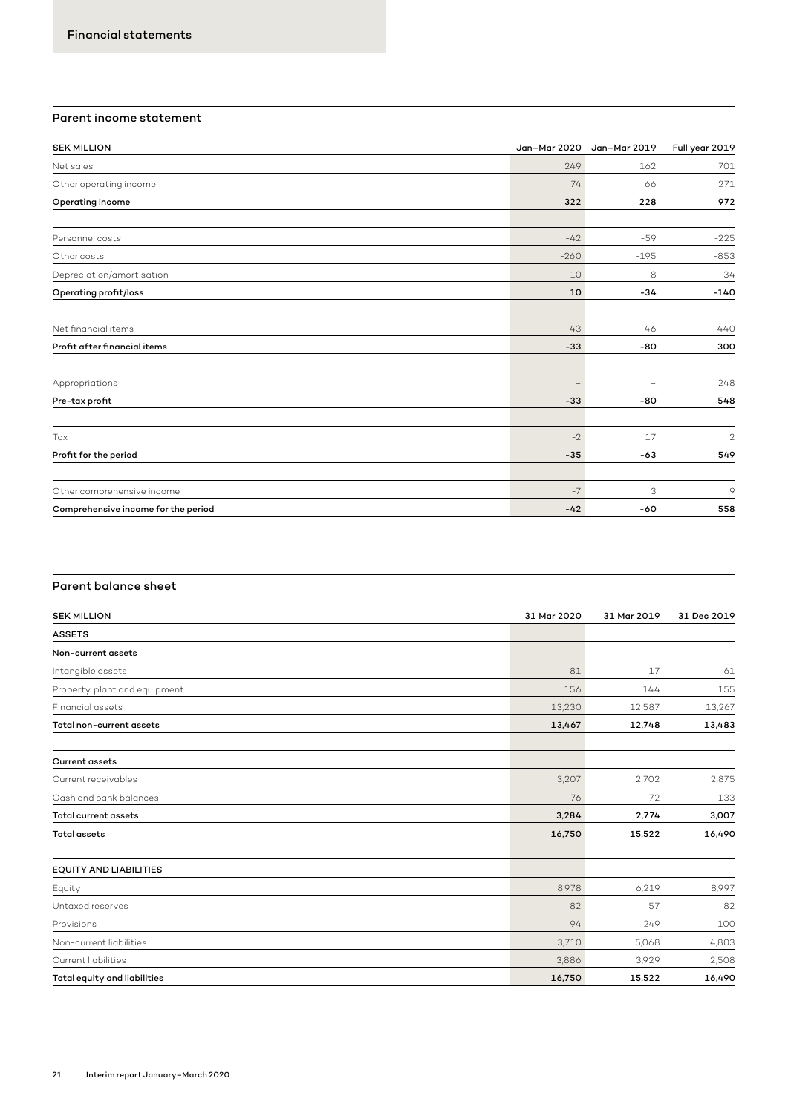# Parent income statement

| <b>SEK MILLION</b>                  |                   | Jan-Mar 2020 Jan-Mar 2019 | Full year 2019 |
|-------------------------------------|-------------------|---------------------------|----------------|
| Net sales                           | 249               | 162                       | 701            |
| Other operating income              | 74                | 66                        | 271            |
| Operating income                    | 322               | 228                       | 972            |
| Personnel costs                     | $-42$             | $-59$                     | $-225$         |
| Other costs                         | $-260$            | $-195$                    | $-853$         |
| Depreciation/amortisation           | $-10$             | $-8$                      | $-34$          |
| Operating profit/loss               | 10                | $-34$                     | $-140$         |
| Net financial items                 | $-43$             | $-46$                     | 440            |
| Profit after financial items        | $-33$             | $-80$                     | 300            |
| Appropriations                      | $\qquad \qquad -$ | $\overline{\phantom{0}}$  | 248            |
| Pre-tax profit                      | $-33$             | -80                       | 548            |
| Tax                                 | $-2$              | 17                        | $\overline{2}$ |
| Profit for the period               | $-35$             | $-63$                     | 549            |
| Other comprehensive income          | $-7$              | 3                         | $\circ$        |
| Comprehensive income for the period | $-42$             | -60                       | 558            |

# Parent balance sheet

| <b>SEK MILLION</b>            | 31 Mar 2020 | 31 Mar 2019 | 31 Dec 2019 |
|-------------------------------|-------------|-------------|-------------|
| <b>ASSETS</b>                 |             |             |             |
| Non-current assets            |             |             |             |
| Intangible assets             | 81          | 17          | 61          |
| Property, plant and equipment | 156         | 144         | 155         |
| <b>Financial assets</b>       | 13,230      | 12,587      | 13,267      |
| Total non-current assets      | 13,467      | 12,748      | 13,483      |
| <b>Current assets</b>         |             |             |             |
| Current receivables           | 3,207       | 2,702       | 2,875       |
| Cash and bank balances        | 76          | 72          | 133         |
| Total current assets          | 3,284       | 2,774       | 3,007       |
| <b>Total assets</b>           | 16,750      | 15,522      | 16,490      |
| <b>EQUITY AND LIABILITIES</b> |             |             |             |
| Equity                        | 8,978       | 6,219       | 8,997       |
| Untaxed reserves              | 82          | 57          | 82          |
| Provisions                    | 94          | 249         | 100         |
| Non-current liabilities       | 3.710       | 5,068       | 4,803       |
| Current liabilities           | 3,886       | 3,929       | 2,508       |
| Total equity and liabilities  | 16,750      | 15,522      | 16,490      |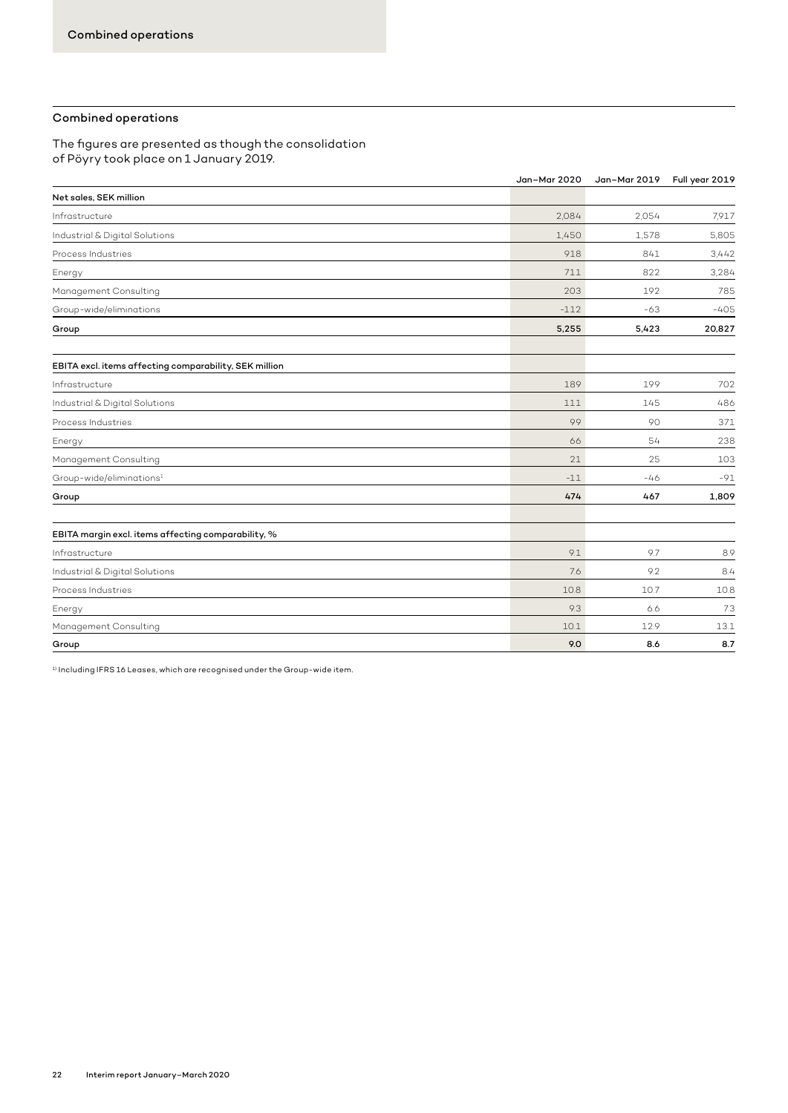#### Combined operations

The figures are presented as though the consolidation of Pöyry took place on 1 January 2019.

|                                                        | Jan-Mar 2020 | Jan-Mar 2019 | Full year 2019 |
|--------------------------------------------------------|--------------|--------------|----------------|
| Net sales, SEK million                                 |              |              |                |
| Infrastructure                                         | 2.084        | 2.054        | 7,917          |
| Industrial & Digital Solutions                         | 1,450        | 1,578        | 5,805          |
| Process Industries                                     | 918          | 841          | 3,442          |
| Energy                                                 | 711          | 822          | 3,284          |
| Management Consulting                                  | 203          | 192          | 785            |
| Group-wide/eliminations                                | $-112$       | $-63$        | $-405$         |
| Group                                                  | 5,255        | 5,423        | 20,827         |
| EBITA excl. items affecting comparability, SEK million |              |              |                |
| Infrastructure                                         | 189          | 199          | 702            |
| Industrial & Digital Solutions                         | 111          | 145          | 486            |
| Process Industries                                     | 99           | 90           | 371            |
| Energy                                                 | 66           | 54           | 238            |
| Management Consulting                                  | 21           | 25           | 103            |
| Group-wide/eliminations <sup>1</sup>                   | $-11$        | $-46$        | $-91$          |
| Group                                                  | 474          | 467          | 1,809          |
| EBITA margin excl. items affecting comparability, %    |              |              |                |
| Infrastructure                                         | 9.1          | 9.7          | 8.9            |
| Industrial & Digital Solutions                         | 7.6          | 9.2          | 8.4            |
| Process Industries                                     | 10.8         | 10.7         | 10.8           |
| Energy                                                 | 9.3          | 6.6          | 7.3            |
| Management Consulting                                  | 10.1         | 12.9         | 13.1           |
| Group                                                  | 9.0          | 8.6          | 8.7            |

 $^{\rm 1)}$  Including IFRS 16 Leases, which are recognised under the Group-wide item.